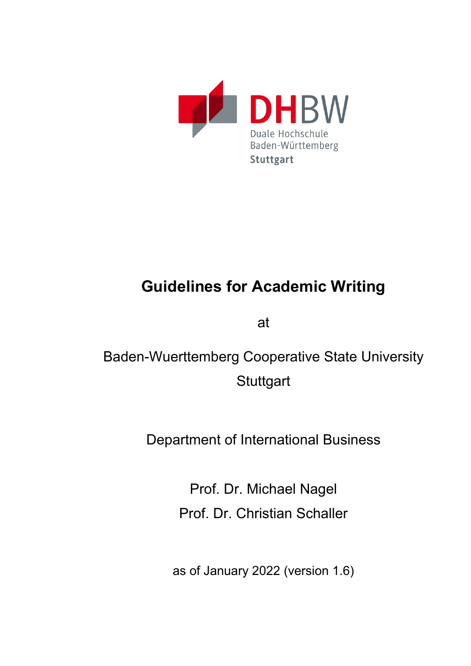

# **Guidelines for Academic Writing**

at

Baden-Wuerttemberg Cooperative State University **Stuttgart** 

Department of International Business

Prof. Dr. Michael Nagel Prof. Dr. Christian Schaller

as of January 2022 (version 1.6)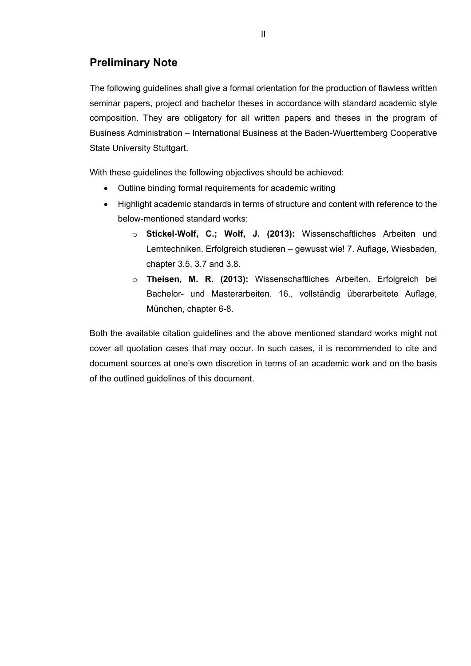# <span id="page-1-0"></span>**Preliminary Note**

The following guidelines shall give a formal orientation for the production of flawless written seminar papers, project and bachelor theses in accordance with standard academic style composition. They are obligatory for all written papers and theses in the program of Business Administration – International Business at the Baden-Wuerttemberg Cooperative State University Stuttgart.

With these guidelines the following objectives should be achieved:

- Outline binding formal requirements for academic writing
- Highlight academic standards in terms of structure and content with reference to the below-mentioned standard works:
	- o **Stickel-Wolf, C.; Wolf, J. (2013):** Wissenschaftliches Arbeiten und Lerntechniken. Erfolgreich studieren – gewusst wie! 7. Auflage, Wiesbaden, chapter 3.5, 3.7 and 3.8.
	- o **Theisen, M. R. (2013):** Wissenschaftliches Arbeiten. Erfolgreich bei Bachelor- und Masterarbeiten. 16., vollständig überarbeitete Auflage, München, chapter 6-8.

Both the available citation guidelines and the above mentioned standard works might not cover all quotation cases that may occur. In such cases, it is recommended to cite and document sources at one's own discretion in terms of an academic work and on the basis of the outlined guidelines of this document.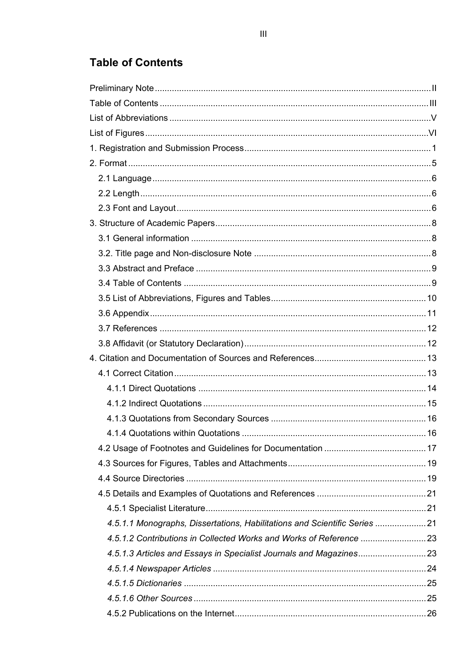# <span id="page-2-0"></span>**Table of Contents**

| 4.5.1.1 Monographs, Dissertations, Habilitations and Scientific Series 21 |  |
|---------------------------------------------------------------------------|--|
|                                                                           |  |
|                                                                           |  |
|                                                                           |  |
|                                                                           |  |
|                                                                           |  |
|                                                                           |  |
|                                                                           |  |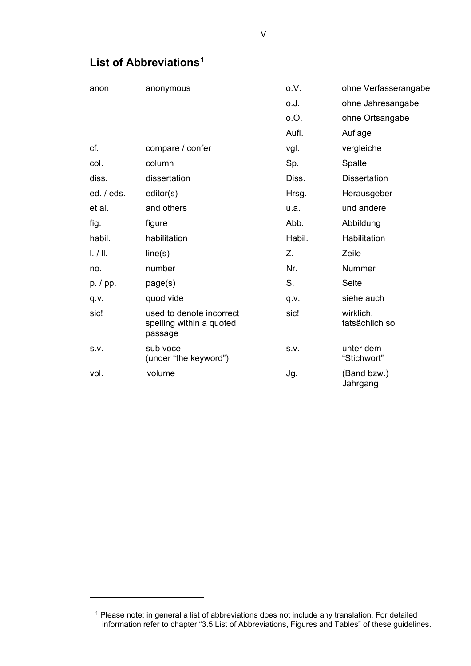<span id="page-4-0"></span>

|  |  | List of Abbreviations <sup>1</sup> |
|--|--|------------------------------------|
|--|--|------------------------------------|

| anon                              | anonymous                                                       | o.V.   | ohne Verfasserangabe        |
|-----------------------------------|-----------------------------------------------------------------|--------|-----------------------------|
|                                   |                                                                 | o.J.   | ohne Jahresangabe           |
|                                   |                                                                 | O.O.   | ohne Ortsangabe             |
|                                   |                                                                 | Aufl.  | Auflage                     |
| cf.                               | compare / confer                                                | vgl.   | vergleiche                  |
| col.                              | column                                                          | Sp.    | Spalte                      |
| diss.                             | dissertation                                                    | Diss.  | <b>Dissertation</b>         |
| ed. / eds.                        | editor(s)                                                       | Hrsg.  | Herausgeber                 |
| et al.                            | and others                                                      | u.a.   | und andere                  |
| fig.                              | figure                                                          | Abb.   | Abbildung                   |
| habil.                            | habilitation                                                    | Habil. | Habilitation                |
| $\lfloor$ . $\rfloor$ $\lfloor$ . | line(s)                                                         | Z.     | Zeile                       |
| no.                               | number                                                          | Nr.    | Nummer                      |
| p. / pp.                          | page(s)                                                         | S.     | <b>Seite</b>                |
| q.v.                              | quod vide                                                       | q.v.   | siehe auch                  |
| sic!                              | used to denote incorrect<br>spelling within a quoted<br>passage | sic!   | wirklich,<br>tatsächlich so |
| S.V.                              | sub voce<br>(under "the keyword")                               | S.V.   | unter dem<br>"Stichwort"    |
| vol.                              | volume                                                          | Jg.    | (Band bzw.)<br>Jahrgang     |

<span id="page-4-1"></span> $1$  Please note: in general a list of abbreviations does not include any translation. For detailed information refer to chapter ["3.5 List of Abbreviations, Figures and Tables"](#page-15-0) of these guidelines.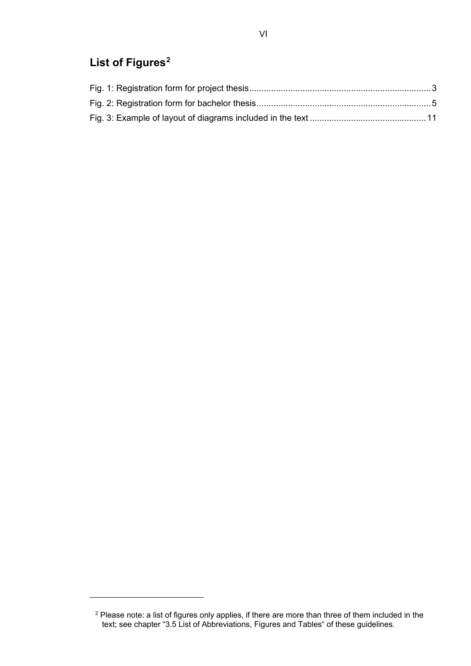# <span id="page-5-0"></span>**List of Figures[2](#page-5-1)**

<span id="page-5-1"></span> $^2$  Please note: a list of figures only applies, if there are more than three of them included in the text; see chapter "3.5 List of Abbreviations, Figures and Tables" of these guidelines.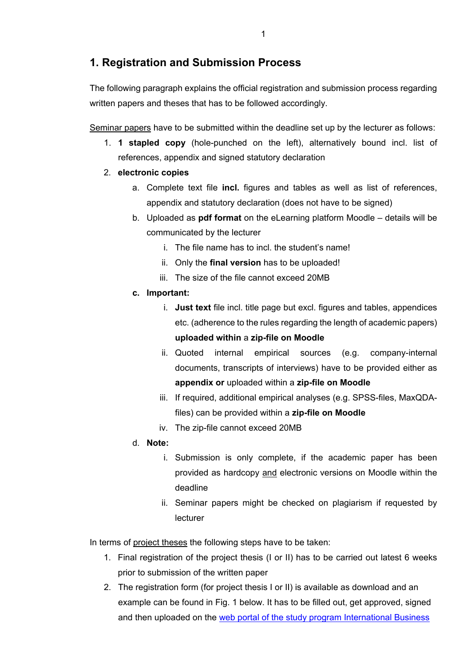## <span id="page-6-0"></span>**1. Registration and Submission Process**

The following paragraph explains the official registration and submission process regarding written papers and theses that has to be followed accordingly.

Seminar papers have to be submitted within the deadline set up by the lecturer as follows:

- 1. **1 stapled copy** (hole-punched on the left), alternatively bound incl. list of references, appendix and signed statutory declaration
- 2. **electronic copies**
	- a. Complete text file **incl.** figures and tables as well as list of references, appendix and statutory declaration (does not have to be signed)
	- b. Uploaded as **pdf format** on the eLearning platform Moodle details will be communicated by the lecturer
		- i. The file name has to incl. the student's name!
		- ii. Only the **final version** has to be uploaded!
		- iii. The size of the file cannot exceed 20MB
	- **c. Important:**
		- i. **Just text** file incl. title page but excl. figures and tables, appendices etc. (adherence to the rules regarding the length of academic papers) **uploaded within** a **zip-file on Moodle**
		- ii. Quoted internal empirical sources (e.g. company-internal documents, transcripts of interviews) have to be provided either as **appendix or** uploaded within a **zip-file on Moodle**
		- iii. If required, additional empirical analyses (e.g. SPSS-files, MaxQDAfiles) can be provided within a **zip-file on Moodle**
		- iv. The zip-file cannot exceed 20MB
	- d. **Note:**
		- i. Submission is only complete, if the academic paper has been provided as hardcopy and electronic versions on Moodle within the deadline
		- ii. Seminar papers might be checked on plagiarism if requested by lecturer

In terms of project theses the following steps have to be taken:

- 1. Final registration of the project thesis (I or II) has to be carried out latest 6 weeks prior to submission of the written paper
- 2. The registration form (for project thesis I or II) is available as download and an example can be found in [Fig. 1](#page-8-0) below. It has to be filled out, get approved, signed and then uploaded on the [web portal of the study program International Business](https://www.dhbw-stuttgart.de/studierendenportal/bwl-ib/pruefungsleistungen/projektarbeiten/anmeldung/)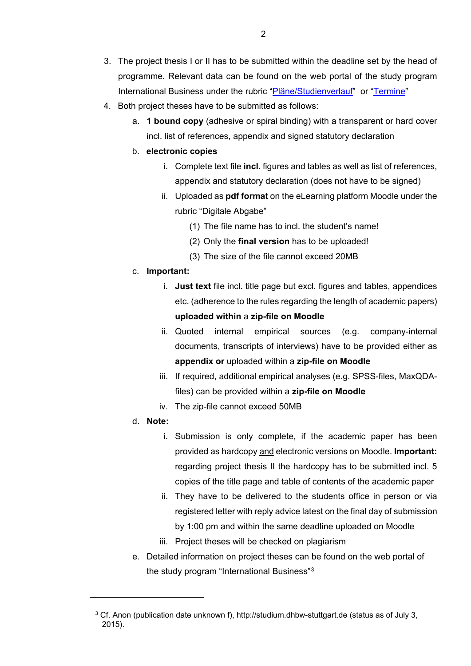- 3. The project thesis I or II has to be submitted within the deadline set by the head of programme. Relevant data can be found on the web portal of the study program International Business under the rubric ["Pläne/Studienverlauf"](https://www.dhbw-stuttgart.de/studierendenportal/bwl-ib/plaene/studienverlauf/) or ["Termine"](https://it.dhbw-stuttgart.de/DHermine/?DB=Termine_IB)
- 4. Both project theses have to be submitted as follows:
	- a. **1 bound copy** (adhesive or spiral binding) with a transparent or hard cover incl. list of references, appendix and signed statutory declaration
	- b. **electronic copies**
		- i. Complete text file **incl.** figures and tables as well as list of references, appendix and statutory declaration (does not have to be signed)
		- ii. Uploaded as **pdf format** on the eLearning platform Moodle under the rubric "Digitale Abgabe"
			- (1) The file name has to incl. the student's name!
			- (2) Only the **final version** has to be uploaded!
			- (3) The size of the file cannot exceed 20MB
	- c. **Important:** 
		- i. **Just text** file incl. title page but excl. figures and tables, appendices etc. (adherence to the rules regarding the length of academic papers) **uploaded within** a **zip-file on Moodle**
		- ii. Quoted internal empirical sources (e.g. company-internal documents, transcripts of interviews) have to be provided either as **appendix or** uploaded within a **zip-file on Moodle**
		- iii. If required, additional empirical analyses (e.g. SPSS-files, MaxQDAfiles) can be provided within a **zip-file on Moodle**
		- iv. The zip-file cannot exceed 50MB
	- d. **Note:**

- i. Submission is only complete, if the academic paper has been provided as hardcopy and electronic versions on Moodle. **Important:**  regarding project thesis II the hardcopy has to be submitted incl. 5 copies of the title page and table of contents of the academic paper
- ii. They have to be delivered to the students office in person or via registered letter with reply advice latest on the final day of submission by 1:00 pm and within the same deadline uploaded on Moodle
- iii. Project theses will be checked on plagiarism
- e. Detailed information on project theses can be found on the web portal of the study program "International Business"[3](#page-7-0)

<span id="page-7-0"></span><sup>&</sup>lt;sup>3</sup> Cf. Anon (publication date unknown f), http://studium.dhbw-stuttgart.de (status as of July 3, 2015).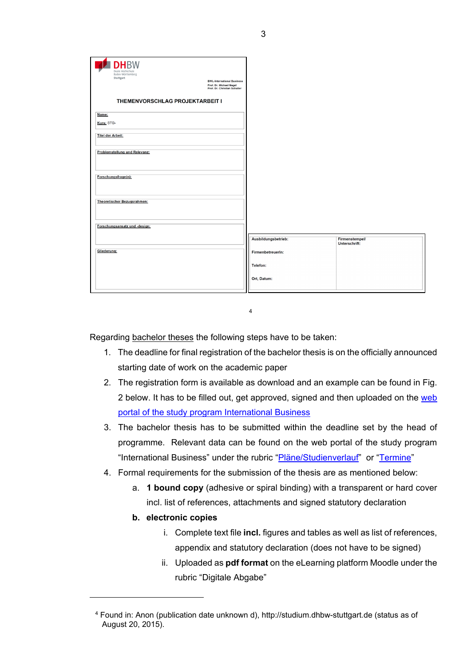| Name:<br>Kurs: STG-<br><b>Titel der Arbeit:</b><br>Problemstellung und Relevanz:<br>Forschungsfrage(n):<br>Theoretischer Bezugsrahmen:<br>Forschungsansatz und -design:<br>Ausbildungsbetrieb:<br><b>Firmenstempel/</b><br>Unterschrift: | <b>DHBW</b><br>Duale Hochschule<br>Baden-Württemberg<br>Stuttgart<br><b>BWL-International Business</b><br>Prof. Dr. Michael Nagel<br>Prof. Dr. Christian Schaller<br>THEMENVORSCHLAG PROJEKTARBEIT I |  |
|------------------------------------------------------------------------------------------------------------------------------------------------------------------------------------------------------------------------------------------|------------------------------------------------------------------------------------------------------------------------------------------------------------------------------------------------------|--|
|                                                                                                                                                                                                                                          |                                                                                                                                                                                                      |  |
|                                                                                                                                                                                                                                          |                                                                                                                                                                                                      |  |
|                                                                                                                                                                                                                                          |                                                                                                                                                                                                      |  |
|                                                                                                                                                                                                                                          |                                                                                                                                                                                                      |  |
|                                                                                                                                                                                                                                          |                                                                                                                                                                                                      |  |
|                                                                                                                                                                                                                                          |                                                                                                                                                                                                      |  |
|                                                                                                                                                                                                                                          |                                                                                                                                                                                                      |  |
|                                                                                                                                                                                                                                          |                                                                                                                                                                                                      |  |
|                                                                                                                                                                                                                                          |                                                                                                                                                                                                      |  |
|                                                                                                                                                                                                                                          |                                                                                                                                                                                                      |  |
| Gliederung:<br>FirmenbetreuerIn:                                                                                                                                                                                                         |                                                                                                                                                                                                      |  |
| Telefon:                                                                                                                                                                                                                                 |                                                                                                                                                                                                      |  |
| Ort, Datum:                                                                                                                                                                                                                              |                                                                                                                                                                                                      |  |

[4](#page-8-1) 

<span id="page-8-0"></span>Regarding bachelor theses the following steps have to be taken:

- 1. The deadline for final registration of the bachelor thesis is on the officially announced starting date of work on the academic paper
- 2. The registration form is available as download and an example can be found in [Fig.](#page-10-1)  [2](#page-10-1) below. It has to be filled out, get approved, signed and then uploaded on the [web](https://www.dhbw-stuttgart.de/studierendenportal/bwl-ib/pruefungsleistungen/bachelorarbeit/anmeldung/)  [portal of the study program International Business](https://www.dhbw-stuttgart.de/studierendenportal/bwl-ib/pruefungsleistungen/bachelorarbeit/anmeldung/)
- 3. The bachelor thesis has to be submitted within the deadline set by the head of programme. Relevant data can be found on the web portal of the study program "International Business" under the rubric ["Pläne/Studienverlauf"](https://www.dhbw-stuttgart.de/studierendenportal/bwl-ib/plaene/studienverlauf/) or ["Termine"](https://it.dhbw-stuttgart.de/DHermine/?DB=Termine_IB)
- 4. Formal requirements for the submission of the thesis are as mentioned below:
	- a. **1 bound copy** (adhesive or spiral binding) with a transparent or hard cover incl. list of references, attachments and signed statutory declaration
	- **b. electronic copies**

- i. Complete text file **incl.** figures and tables as well as list of references, appendix and statutory declaration (does not have to be signed)
- ii. Uploaded as **pdf format** on the eLearning platform Moodle under the rubric "Digitale Abgabe"

<span id="page-8-1"></span><sup>4</sup> Found in: Anon (publication date unknown d), http://studium.dhbw-stuttgart.de (status as of August 20, 2015).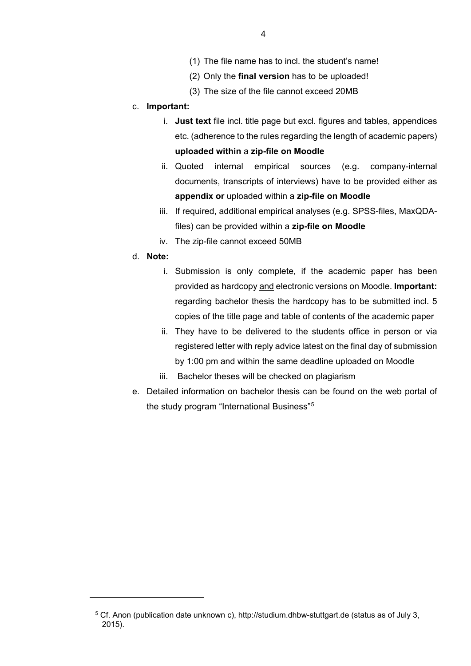- (1) The file name has to incl. the student's name!
- (2) Only the **final version** has to be uploaded!
- (3) The size of the file cannot exceed 20MB

## c. **Important:**

- i. **Just text** file incl. title page but excl. figures and tables, appendices etc. (adherence to the rules regarding the length of academic papers) **uploaded within** a **zip-file on Moodle**
- ii. Quoted internal empirical sources (e.g. company-internal documents, transcripts of interviews) have to be provided either as **appendix or** uploaded within a **zip-file on Moodle**
- iii. If required, additional empirical analyses (e.g. SPSS-files, MaxQDAfiles) can be provided within a **zip-file on Moodle**
- iv. The zip-file cannot exceed 50MB

## d. **Note:**

- i. Submission is only complete, if the academic paper has been provided as hardcopy and electronic versions on Moodle. **Important:**  regarding bachelor thesis the hardcopy has to be submitted incl. 5 copies of the title page and table of contents of the academic paper
- ii. They have to be delivered to the students office in person or via registered letter with reply advice latest on the final day of submission by 1:00 pm and within the same deadline uploaded on Moodle
- iii. Bachelor theses will be checked on plagiarism
- e. Detailed information on bachelor thesis can be found on the web portal of the study program "International Business"[5](#page-9-0)

<span id="page-9-0"></span><sup>5</sup> Cf. Anon (publication date unknown c), http://studium.dhbw-stuttgart.de (status as of July 3, 2015).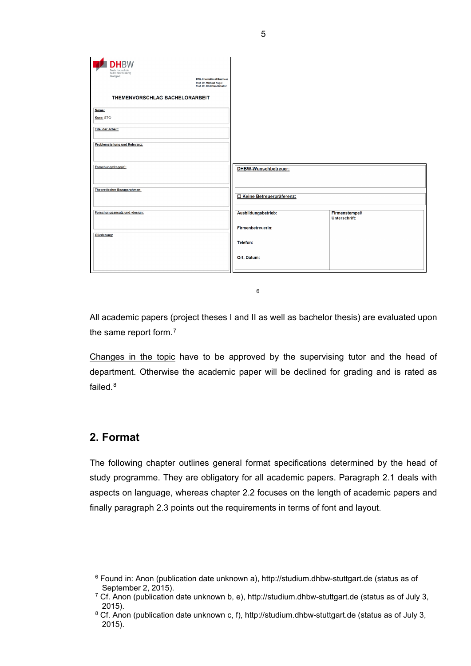| <b>DHBW</b><br>Duale Hochschule<br>Baden-Württemberg<br>Stuttgart<br><b>BWL-International Business</b><br>Prof. Dr. Michael Nagel<br>Prof. Dr. Christian Schaller<br>THEMENVORSCHLAG BACHELORARBEIT |                            |                                 |
|-----------------------------------------------------------------------------------------------------------------------------------------------------------------------------------------------------|----------------------------|---------------------------------|
| Name:                                                                                                                                                                                               |                            |                                 |
| Kurs: STG-                                                                                                                                                                                          |                            |                                 |
| <b>Titel der Arbeit:</b>                                                                                                                                                                            |                            |                                 |
| Problemstellung und Relevanz:                                                                                                                                                                       |                            |                                 |
| Forschungsfrage(n):                                                                                                                                                                                 | DHBW-Wunschbetreuer:       |                                 |
| <b>Theoretischer Bezugsrahmen:</b>                                                                                                                                                                  | □ Keine Betreuerpräferenz: |                                 |
| Forschungsansatz und -design:                                                                                                                                                                       | Ausbildungsbetrieb:        | Firmenstempel/<br>Unterschrift: |
| Gliederung:                                                                                                                                                                                         | FirmenbetreuerIn:          |                                 |
|                                                                                                                                                                                                     | Telefon:                   |                                 |
|                                                                                                                                                                                                     | Ort, Datum:                |                                 |

[6](#page-10-2)

<span id="page-10-1"></span>All academic papers (project theses I and II as well as bachelor thesis) are evaluated upon the same report form.<sup>7</sup>

Changes in the topic have to be approved by the supervising tutor and the head of department. Otherwise the academic paper will be declined for grading and is rated as failed  $8$ 

# <span id="page-10-0"></span>**2. Format**

<span id="page-10-2"></span> $\ddot{\phantom{a}}$ 

The following chapter outlines general format specifications determined by the head of study programme. They are obligatory for all academic papers. Paragraph 2.1 deals with aspects on language, whereas chapter 2.2 focuses on the length of academic papers and finally paragraph 2.3 points out the requirements in terms of font and layout.

<sup>6</sup> Found in: Anon (publication date unknown a), http://studium.dhbw-stuttgart.de (status as of September 2, 2015).

<span id="page-10-3"></span> $7$  Cf. Anon (publication date unknown b, e), http://studium.dhbw-stuttgart.de (status as of July 3, 2015).

<span id="page-10-4"></span><sup>&</sup>lt;sup>8</sup> Cf. Anon (publication date unknown c, f), http://studium.dhbw-stuttgart.de (status as of July 3, 2015).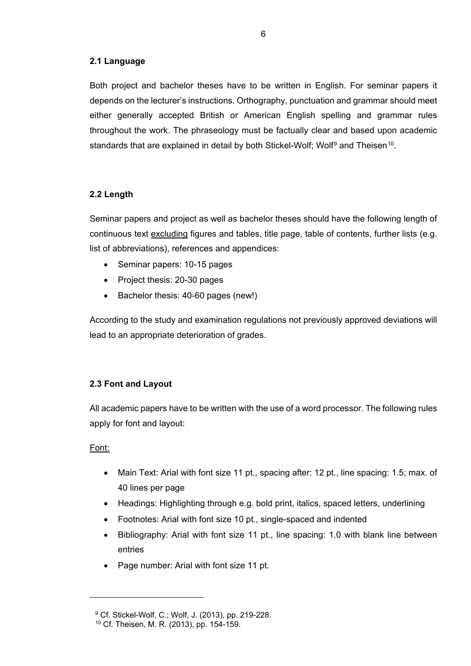## <span id="page-11-0"></span>**2.1 Language**

Both project and bachelor theses have to be written in English. For seminar papers it depends on the lecturer's instructions. Orthography, punctuation and grammar should meet either generally accepted British or American English spelling and grammar rules throughout the work. The phraseology must be factually clear and based upon academic standards that are explained in detail by both Stickel-Wolf; Wolf<sup>[9](#page-11-3)</sup> and Theisen<sup>10</sup>.

## <span id="page-11-1"></span>**2.2 Length**

Seminar papers and project as well as bachelor theses should have the following length of continuous text excluding figures and tables, title page, table of contents, further lists (e.g. list of abbreviations), references and appendices:

- Seminar papers: 10-15 pages
- Project thesis: 20-30 pages
- Bachelor thesis: 40-60 pages (new!)

According to the study and examination regulations not previously approved deviations will lead to an appropriate deterioration of grades.

## <span id="page-11-2"></span>**2.3 Font and Layout**

All academic papers have to be written with the use of a word processor. The following rules apply for font and layout:

## Font:

- Main Text: Arial with font size 11 pt., spacing after: 12 pt., line spacing: 1.5; max. of 40 lines per page
- Headings: Highlighting through e.g. bold print, italics, spaced letters, underlining
- Footnotes: Arial with font size 10 pt., single-spaced and indented
- Bibliography: Arial with font size 11 pt., line spacing: 1.0 with blank line between entries
- Page number: Arial with font size 11 pt.

<span id="page-11-4"></span><span id="page-11-3"></span><sup>9</sup> Cf. Stickel-Wolf, C.; Wolf, J. (2013), pp. 219-228.

<sup>10</sup> Cf. Theisen, M. R. (2013), pp. 154-159.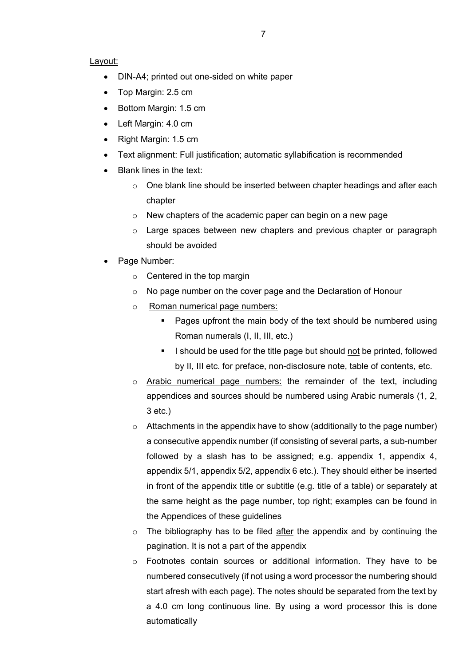#### Layout:

- DIN-A4; printed out one-sided on white paper
- Top Margin: 2.5 cm
- Bottom Margin: 1.5 cm
- Left Margin: 4.0 cm
- Right Margin: 1.5 cm
- Text alignment: Full justification; automatic syllabification is recommended
- Blank lines in the text:
	- o One blank line should be inserted between chapter headings and after each chapter
	- o New chapters of the academic paper can begin on a new page
	- $\circ$  Large spaces between new chapters and previous chapter or paragraph should be avoided
- Page Number:
	- $\circ$  Centered in the top margin
	- o No page number on the cover page and the Declaration of Honour
	- o Roman numerical page numbers:
		- Pages upfront the main body of the text should be numbered using Roman numerals (I, II, III, etc.)
		- I should be used for the title page but should not be printed, followed by II, III etc. for preface, non-disclosure note, table of contents, etc.
	- o Arabic numerical page numbers: the remainder of the text, including appendices and sources should be numbered using Arabic numerals (1, 2, 3 etc.)
	- $\circ$  Attachments in the appendix have to show (additionally to the page number) a consecutive appendix number (if consisting of several parts, a sub-number followed by a slash has to be assigned; e.g. appendix 1, appendix 4, appendix 5/1, appendix 5/2, appendix 6 etc.). They should either be inserted in front of the appendix title or subtitle (e.g. title of a table) or separately at the same height as the page number, top right; examples can be found in the [Appendices](#page-36-0) of these guidelines
	- $\circ$  The bibliography has to be filed after the appendix and by continuing the pagination. It is not a part of the appendix
	- o Footnotes contain sources or additional information. They have to be numbered consecutively (if not using a word processor the numbering should start afresh with each page). The notes should be separated from the text by a 4.0 cm long continuous line. By using a word processor this is done automatically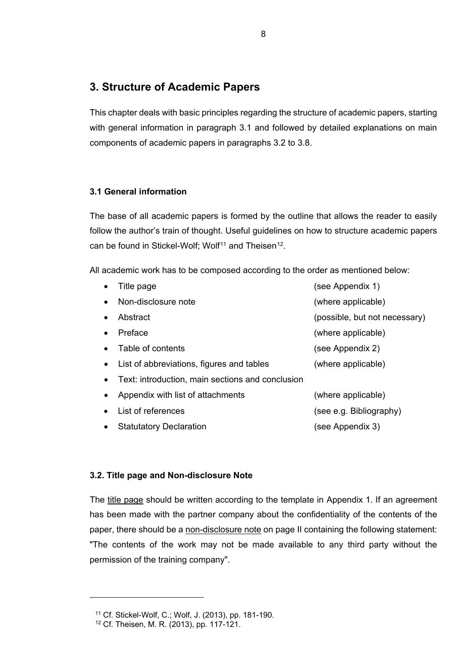# <span id="page-13-0"></span>**3. Structure of Academic Papers**

This chapter deals with basic principles regarding the structure of academic papers, starting with general information in paragraph 3.1 and followed by detailed explanations on main components of academic papers in paragraphs 3.2 to 3.8.

## <span id="page-13-1"></span>**3.1 General information**

The base of all academic papers is formed by the outline that allows the reader to easily follow the author's train of thought. Useful guidelines on how to structure academic papers can be found in Stickel-Wolf; Wolf<sup>[11](#page-13-3)</sup> and Theisen<sup>[12](#page-13-4)</sup>.

All academic work has to be composed according to the order as mentioned below:

| $\bullet$ | Title page                                       | (see Appendix 1)              |
|-----------|--------------------------------------------------|-------------------------------|
| ٠         | Non-disclosure note                              | (where applicable)            |
| $\bullet$ | Abstract                                         | (possible, but not necessary) |
| $\bullet$ | Preface                                          | (where applicable)            |
|           | Table of contents                                | (see Appendix 2)              |
| $\bullet$ | List of abbreviations, figures and tables        | (where applicable)            |
| $\bullet$ | Text: introduction, main sections and conclusion |                               |
|           | Appendix with list of attachments                | (where applicable)            |
|           | List of references                               | (see e.g. Bibliography)       |
| ٠         | <b>Statutatory Declaration</b>                   | (see Appendix 3)              |

## <span id="page-13-2"></span>**3.2. Title page and Non-disclosure Note**

The title page should be written according to the template in [Appendix 1.](#page-37-0) If an agreement has been made with the partner company about the confidentiality of the contents of the paper, there should be a non-disclosure note on page II containing the following statement: "The contents of the work may not be made available to any third party without the permission of the training company".

<span id="page-13-4"></span><span id="page-13-3"></span><sup>11</sup> Cf. Stickel-Wolf, C.; Wolf, J. (2013), pp. 181-190.

<sup>12</sup> Cf. Theisen, M. R. (2013), pp. 117-121.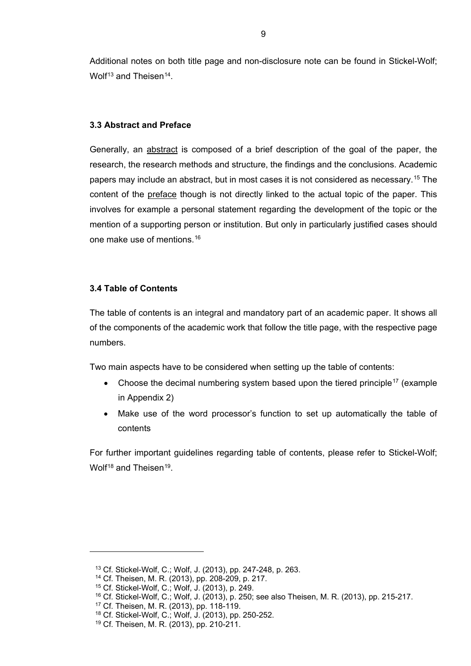Additional notes on both title page and non-disclosure note can be found in Stickel-Wolf; Wolf<sup>[13](#page-14-2)</sup> and Theisen<sup>14</sup>.

#### <span id="page-14-0"></span>**3.3 Abstract and Preface**

Generally, an abstract is composed of a brief description of the goal of the paper, the research, the research methods and structure, the findings and the conclusions. Academic papers may include an abstract, but in most cases it is not considered as necessary.[15](#page-14-4) The content of the preface though is not directly linked to the actual topic of the paper. This involves for example a personal statement regarding the development of the topic or the mention of a supporting person or institution. But only in particularly justified cases should one make use of mentions.[16](#page-14-5)

## <span id="page-14-1"></span>**3.4 Table of Contents**

The table of contents is an integral and mandatory part of an academic paper. It shows all of the components of the academic work that follow the title page, with the respective page numbers.

Two main aspects have to be considered when setting up the table of contents:

- Choose the decimal numbering system based upon the tiered principle<sup>[17](#page-14-6)</sup> (example in [Appendix 2\)](#page-38-0)
- Make use of the word processor's function to set up automatically the table of contents

For further important guidelines regarding table of contents, please refer to Stickel-Wolf; Wolf<sup>[18](#page-14-7)</sup> and Theisen<sup>19</sup>.

<span id="page-14-2"></span><sup>13</sup> Cf. Stickel-Wolf, C.; Wolf, J. (2013), pp. 247-248, p. 263.

<span id="page-14-3"></span><sup>14</sup> Cf. Theisen, M. R. (2013), pp. 208-209, p. 217.

<span id="page-14-4"></span><sup>15</sup> Cf. Stickel-Wolf, C.; Wolf, J. (2013), p. 249.

<span id="page-14-5"></span><sup>16</sup> Cf. Stickel-Wolf, C.; Wolf, J. (2013), p. 250; see also Theisen, M. R. (2013), pp. 215-217.

<span id="page-14-6"></span><sup>17</sup> Cf. Theisen, M. R. (2013), pp. 118-119.

<span id="page-14-8"></span><span id="page-14-7"></span><sup>18</sup> Cf. Stickel-Wolf, C.; Wolf, J. (2013), pp. 250-252.

<sup>19</sup> Cf. Theisen, M. R. (2013), pp. 210-211.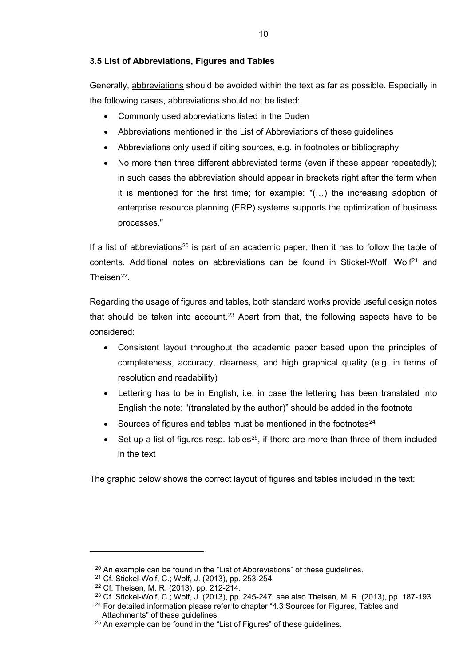## <span id="page-15-0"></span>**3.5 List of Abbreviations, Figures and Tables**

Generally, abbreviations should be avoided within the text as far as possible. Especially in the following cases, abbreviations should not be listed:

- Commonly used abbreviations listed in the Duden
- Abbreviations mentioned in the [List of Abbreviations](#page-4-0) of these guidelines
- Abbreviations only used if citing sources, e.g. in footnotes or bibliography
- No more than three different abbreviated terms (even if these appear repeatedly); in such cases the abbreviation should appear in brackets right after the term when it is mentioned for the first time; for example: "(…) the increasing adoption of enterprise resource planning (ERP) systems supports the optimization of business processes."

If a list of abbreviations<sup>[20](#page-15-1)</sup> is part of an academic paper, then it has to follow the table of contents. Additional notes on abbreviations can be found in Stickel-Wolf: Wolf<sup>[21](#page-15-2)</sup> and Theisen $^{22}$ .

Regarding the usage of figures and tables, both standard works provide useful design notes that should be taken into account.<sup>[23](#page-15-4)</sup> Apart from that, the following aspects have to be considered:

- Consistent layout throughout the academic paper based upon the principles of completeness, accuracy, clearness, and high graphical quality (e.g. in terms of resolution and readability)
- Lettering has to be in English, i.e. in case the lettering has been translated into English the note: "(translated by the author)" should be added in the footnote
- Sources of figures and tables must be mentioned in the footnotes $^{24}$  $^{24}$  $^{24}$
- Set up a list of figures resp. tables<sup>25</sup>, if there are more than three of them included in the text

The graphic below shows the correct layout of figures and tables included in the text:

<span id="page-15-1"></span> $20$  An example can be found in the ["List of Abbreviations"](#page-4-0) of these guidelines.

<span id="page-15-2"></span><sup>21</sup> Cf. Stickel-Wolf, C.; Wolf, J. (2013), pp. 253-254.

<span id="page-15-3"></span><sup>22</sup> Cf. Theisen, M. R. (2013), pp. 212-214.

<span id="page-15-5"></span><span id="page-15-4"></span><sup>23</sup> Cf. Stickel-Wolf, C.; Wolf, J. (2013), pp. 245-247; see also Theisen, M. R. (2013), pp. 187-193.

 $24$  For detailed information please refer to chapter "4.3 Sources for Figures, Tables and [Attachments"](#page-24-0) of these guidelines.

<span id="page-15-6"></span> $25$  An example can be found in the ["List of Figures"](#page-5-0) of these guidelines.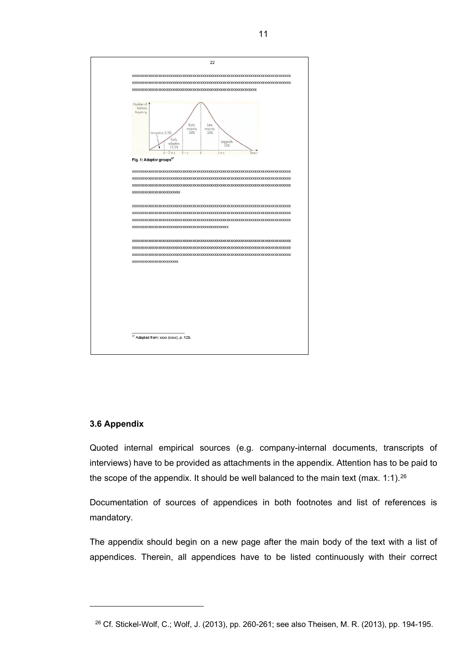

## <span id="page-16-1"></span><span id="page-16-0"></span>**3.6 Appendix**

<span id="page-16-2"></span> $\overline{a}$ 

Quoted internal empirical sources (e.g. company-internal documents, transcripts of interviews) have to be provided as attachments in the appendix. Attention has to be paid to the scope of the appendix. It should be well balanced to the main text (max. 1:1).<sup>[26](#page-16-2)</sup>

Documentation of sources of appendices in both footnotes and list of references is mandatory.

The appendix should begin on a new page after the main body of the text with a list of appendices. Therein, all appendices have to be listed continuously with their correct

<sup>26</sup> Cf. Stickel-Wolf, C.; Wolf, J. (2013), pp. 260-261; see also Theisen, M. R. (2013), pp. 194-195.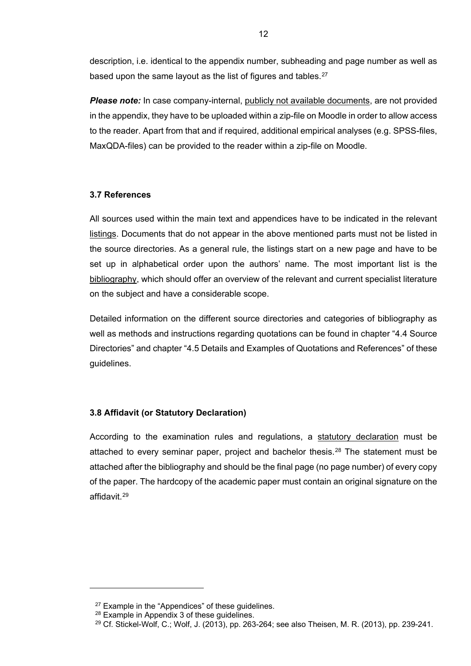description, i.e. identical to the appendix number, subheading and page number as well as based upon the same layout as the list of figures and tables.<sup>[27](#page-17-2)</sup>

*Please note:* In case company-internal, publicly not available documents, are not provided in the appendix, they have to be uploaded within a zip-file on Moodle in order to allow access to the reader. Apart from that and if required, additional empirical analyses (e.g. SPSS-files, MaxQDA-files) can be provided to the reader within a zip-file on Moodle.

## <span id="page-17-0"></span>**3.7 References**

All sources used within the main text and appendices have to be indicated in the relevant listings. Documents that do not appear in the above mentioned parts must not be listed in the source directories. As a general rule, the listings start on a new page and have to be set up in alphabetical order upon the authors' name. The most important list is the bibliography, which should offer an overview of the relevant and current specialist literature on the subject and have a considerable scope.

Detailed information on the different source directories and categories of bibliography as well as methods and instructions regarding quotations can be found in chapter ["4.4 Source](#page-24-1)  [Directories"](#page-24-1) and chapter ["4.5 Details and Examples of Quotations and References"](#page-26-0) of these guidelines.

## <span id="page-17-1"></span>**3.8 Affidavit (or Statutory Declaration)**

According to the examination rules and regulations, a statutory declaration must be attached to every seminar paper, project and bachelor thesis.<sup>[28](#page-17-3)</sup> The statement must be attached after the bibliography and should be the final page (no page number) of every copy of the paper. The hardcopy of the academic paper must contain an original signature on the affidavit.[29](#page-17-4)

<span id="page-17-3"></span><span id="page-17-2"></span> $\ddot{\phantom{a}}$ 

 $27$  Example in the ["Appendices"](#page-36-0) of these guidelines.

<span id="page-17-4"></span><sup>28</sup> Example in [Appendix 3](#page-39-0) of these guidelines.

 $^{29}$  Cf. Stickel-Wolf, C.; Wolf, J. (2013), pp. 263-264; see also Theisen, M. R. (2013), pp. 239-241.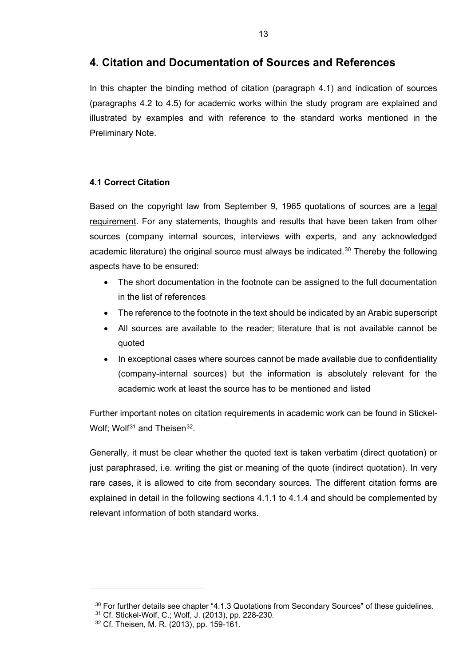## <span id="page-18-0"></span>**4. Citation and Documentation of Sources and References**

In this chapter the binding method of citation (paragraph 4.1) and indication of sources (paragraphs 4.2 to 4.5) for academic works within the study program are explained and illustrated by examples and with reference to the standard works mentioned in the [Preliminary Note.](#page-1-0)

## <span id="page-18-1"></span>**4.1 Correct Citation**

Based on the copyright law from September 9, 1965 quotations of sources are a legal requirement. For any statements, thoughts and results that have been taken from other sources (company internal sources, interviews with experts, and any acknowledged academic literature) the original source must always be indicated.<sup>[30](#page-18-2)</sup> Thereby the following aspects have to be ensured:

- The short documentation in the footnote can be assigned to the full documentation in the list of references
- The reference to the footnote in the text should be indicated by an Arabic superscript
- All sources are available to the reader; literature that is not available cannot be quoted
- In exceptional cases where sources cannot be made available due to confidentiality (company-internal sources) but the information is absolutely relevant for the academic work at least the source has to be mentioned and listed

Further important notes on citation requirements in academic work can be found in Stickel-Wolf: Wolf<sup>[31](#page-18-3)</sup> and Theisen<sup>32</sup>.

Generally, it must be clear whether the quoted text is taken verbatim (direct quotation) or just paraphrased, i.e. writing the gist or meaning of the quote (indirect quotation). In very rare cases, it is allowed to cite from secondary sources. The different citation forms are explained in detail in the following sections 4.1.1 to 4.1.4 and should be complemented by relevant information of both standard works.

<span id="page-18-3"></span><span id="page-18-2"></span> $\ddot{\phantom{a}}$ 

 $30$  For further details see chapter ["4.1.3 Quotations from Secondary Sources"](#page-21-0) of these guidelines.

<span id="page-18-4"></span><sup>31</sup> Cf. Stickel-Wolf, C.; Wolf, J. (2013), pp. 228-230.

<sup>32</sup> Cf. Theisen, M. R. (2013), pp. 159-161.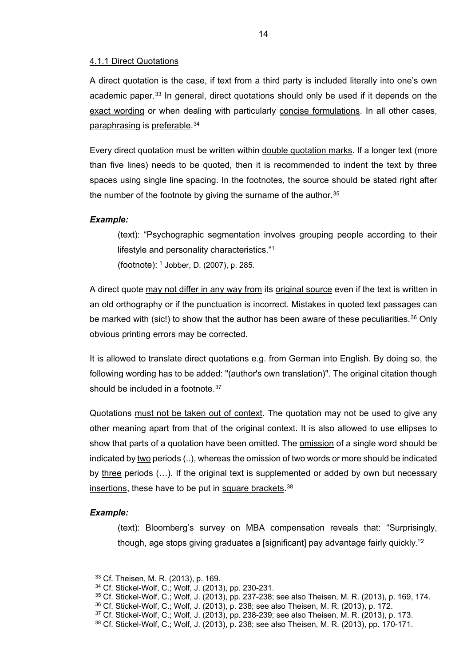#### <span id="page-19-0"></span>4.1.1 Direct Quotations

A direct quotation is the case, if text from a third party is included literally into one's own academic paper.<sup>[33](#page-19-1)</sup> In general, direct quotations should only be used if it depends on the exact wording or when dealing with particularly concise formulations. In all other cases, paraphrasing is preferable.[34](#page-19-2)

Every direct quotation must be written within double quotation marks. If a longer text (more than five lines) needs to be quoted, then it is recommended to indent the text by three spaces using single line spacing. In the footnotes, the source should be stated right after the number of the footnote by giving the surname of the author.  $35$ 

#### *Example:*

(text): "Psychographic segmentation involves grouping people according to their lifestyle and personality characteristics."1 (footnote): <sup>1</sup> Jobber, D. (2007), p. 285.

A direct quote may not differ in any way from its original source even if the text is written in an old orthography or if the punctuation is incorrect. Mistakes in quoted text passages can be marked with (sic!) to show that the author has been aware of these peculiarities.<sup>[36](#page-19-4)</sup> Only obvious printing errors may be corrected.

It is allowed to translate direct quotations e.g. from German into English. By doing so, the following wording has to be added: "(author's own translation)". The original citation though should be included in a footnote.<sup>[37](#page-19-5)</sup>

Quotations must not be taken out of context. The quotation may not be used to give any other meaning apart from that of the original context. It is also allowed to use ellipses to show that parts of a quotation have been omitted. The omission of a single word should be indicated by two periods (..), whereas the omission of two words or more should be indicated by three periods (...). If the original text is supplemented or added by own but necessary insertions, these have to be put in square brackets.<sup>[38](#page-19-6)</sup>

#### *Example:*

<span id="page-19-2"></span><span id="page-19-1"></span> $\ddot{\phantom{a}}$ 

(text): Bloomberg's survey on MBA compensation reveals that: "Surprisingly, though, age stops giving graduates a [significant] pay advantage fairly quickly."2

<sup>33</sup> Cf. Theisen, M. R. (2013), p. 169.

<sup>34</sup> Cf. Stickel-Wolf, C.; Wolf, J. (2013), pp. 230-231.

<span id="page-19-3"></span><sup>35</sup> Cf. Stickel-Wolf, C.; Wolf, J. (2013), pp. 237-238; see also Theisen, M. R. (2013), p. 169, 174.

<span id="page-19-4"></span><sup>36</sup> Cf. Stickel-Wolf, C.; Wolf, J. (2013), p. 238; see also Theisen, M. R. (2013), p. 172.

<span id="page-19-6"></span><span id="page-19-5"></span><sup>37</sup> Cf. Stickel-Wolf, C.; Wolf, J. (2013), pp. 238-239; see also Theisen, M. R. (2013), p. 173.

<sup>38</sup> Cf. Stickel-Wolf, C.; Wolf, J. (2013), p. 238; see also Theisen, M. R. (2013), pp. 170-171.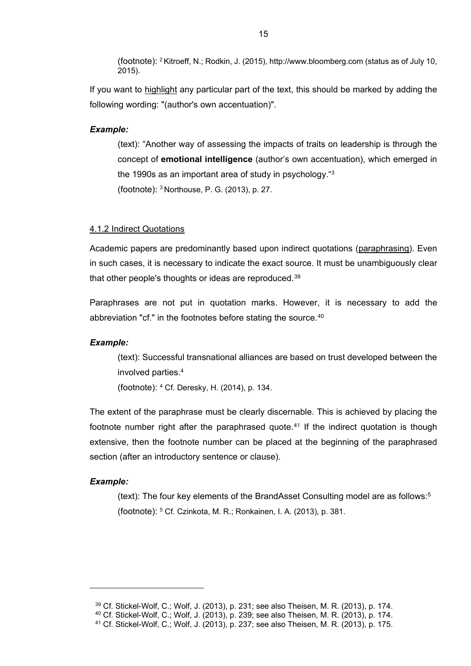(footnote): 2 Kitroeff, N.; Rodkin, J. (2015), http://www.bloomberg.com (status as of July 10, 2015).

If you want to highlight any particular part of the text, this should be marked by adding the following wording: "(author's own accentuation)".

#### *Example:*

(text): "Another way of assessing the impacts of traits on leadership is through the concept of **emotional intelligence** (author's own accentuation), which emerged in the 1990s as an important area of study in psychology."3 (footnote): 3 Northouse, P. G. (2013), p. 27.

#### <span id="page-20-0"></span>4.1.2 Indirect Quotations

Academic papers are predominantly based upon indirect quotations (paraphrasing). Even in such cases, it is necessary to indicate the exact source. It must be unambiguously clear that other people's thoughts or ideas are reproduced.[39](#page-20-1)

Paraphrases are not put in quotation marks. However, it is necessary to add the abbreviation "cf." in the footnotes before stating the source.<sup>[40](#page-20-2)</sup>

#### *Example:*

(text): Successful transnational alliances are based on trust developed between the involved parties.4

(footnote): 4 Cf. Deresky, H. (2014), p. 134.

The extent of the paraphrase must be clearly discernable. This is achieved by placing the footnote number right after the paraphrased quote.<sup>[41](#page-20-3)</sup> If the indirect quotation is though extensive, then the footnote number can be placed at the beginning of the paraphrased section (after an introductory sentence or clause).

#### *Example:*

<span id="page-20-2"></span><span id="page-20-1"></span> $\ddot{\phantom{a}}$ 

(text): The four key elements of the BrandAsset Consulting model are as follows:5 (footnote): 5 Cf. Czinkota, M. R.; Ronkainen, I. A. (2013), p. 381.

<sup>39</sup> Cf. Stickel-Wolf, C.; Wolf, J. (2013), p. 231; see also Theisen, M. R. (2013), p. 174.

<span id="page-20-3"></span><sup>40</sup> Cf. Stickel-Wolf, C.; Wolf, J. (2013), p. 239; see also Theisen, M. R. (2013), p. 174.

<sup>41</sup> Cf. Stickel-Wolf, C.; Wolf, J. (2013), p. 237; see also Theisen, M. R. (2013), p. 175.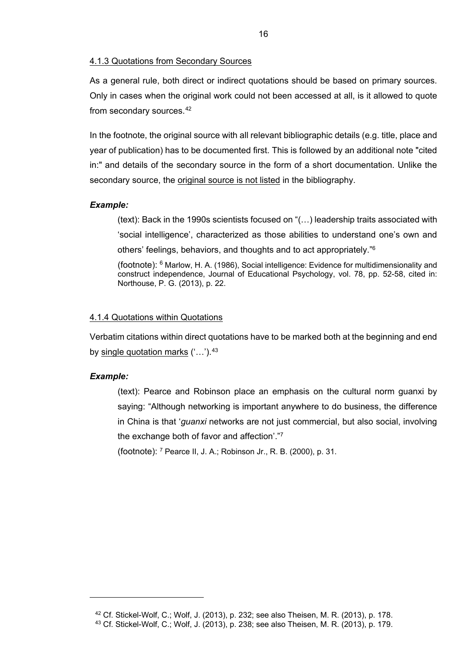#### <span id="page-21-0"></span>4.1.3 Quotations from Secondary Sources

As a general rule, both direct or indirect quotations should be based on primary sources. Only in cases when the original work could not been accessed at all, is it allowed to quote from secondary sources.<sup>[42](#page-21-2)</sup>

In the footnote, the original source with all relevant bibliographic details (e.g. title, place and year of publication) has to be documented first. This is followed by an additional note "cited in:" and details of the secondary source in the form of a short documentation. Unlike the secondary source, the original source is not listed in the bibliography.

#### *Example:*

(text): Back in the 1990s scientists focused on "(…) leadership traits associated with 'social intelligence', characterized as those abilities to understand one's own and others' feelings, behaviors, and thoughts and to act appropriately."6

(footnote): 6 Marlow, H. A. (1986), Social intelligence: Evidence for multidimensionality and construct independence, Journal of Educational Psychology, vol. 78, pp. 52-58, cited in: Northouse, P. G. (2013), p. 22.

#### <span id="page-21-1"></span>4.1.4 Quotations within Quotations

Verbatim citations within direct quotations have to be marked both at the beginning and end by single quotation marks  $($ ...').<sup>[43](#page-21-3)</sup>

#### *Example:*

<span id="page-21-3"></span><span id="page-21-2"></span> $\overline{a}$ 

(text): Pearce and Robinson place an emphasis on the cultural norm guanxi by saying: "Although networking is important anywhere to do business, the difference in China is that '*guanxi* networks are not just commercial, but also social, involving the exchange both of favor and affection'."7

(footnote): 7 Pearce II, J. A.; Robinson Jr., R. B. (2000), p. 31.

<sup>42</sup> Cf. Stickel-Wolf, C.; Wolf, J. (2013), p. 232; see also Theisen, M. R. (2013), p. 178. <sup>43</sup> Cf. Stickel-Wolf, C.; Wolf, J. (2013), p. 238; see also Theisen, M. R. (2013), p. 179.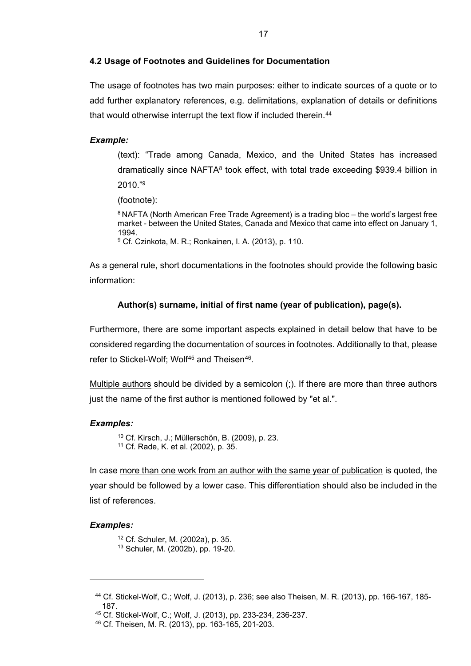#### <span id="page-22-0"></span>**4.2 Usage of Footnotes and Guidelines for Documentation**

The usage of footnotes has two main purposes: either to indicate sources of a quote or to add further explanatory references, e.g. delimitations, explanation of details or definitions that would otherwise interrupt the text flow if included therein.<sup>[44](#page-22-1)</sup>

#### *Example:*

(text): "Trade among Canada, Mexico, and the United States has increased dramatically since NAFTA<sup>8</sup> took effect, with total trade exceeding \$939.4 billion in 2010."9

(footnote):

 $8$  NAFTA (North American Free Trade Agreement) is a trading bloc – the world's largest free market - between the United States, Canada and Mexico that came into effect on January 1, 1994.<br><sup>9</sup> Cf. Czinkota, M. R.; Ronkainen, I. A. (2013), p. 110.

As a general rule, short documentations in the footnotes should provide the following basic information:

#### **Author(s) surname, initial of first name (year of publication), page(s).**

Furthermore, there are some important aspects explained in detail below that have to be considered regarding the documentation of sources in footnotes. Additionally to that, please refer to Stickel-Wolf; Wolf<sup>[45](#page-22-2)</sup> and Theisen<sup>46</sup>.

Multiple authors should be divided by a semicolon (;). If there are more than three authors just the name of the first author is mentioned followed by "et al.".

#### *Examples:*

<sup>10</sup> Cf. Kirsch, J.; Müllerschön, B. (2009), p. 23. <sup>11</sup> Cf. Rade, K. et al. (2002), p. 35.

In case more than one work from an author with the same year of publication is quoted, the year should be followed by a lower case. This differentiation should also be included in the list of references.

#### *Examples:*

<sup>12</sup> Cf. Schuler, M. (2002a), p. 35. <sup>13</sup> Schuler, M. (2002b), pp. 19-20.

<span id="page-22-1"></span><sup>44</sup> Cf. Stickel-Wolf, C.; Wolf, J. (2013), p. 236; see also Theisen, M. R. (2013), pp. 166-167, 185- 187.

<span id="page-22-2"></span><sup>45</sup> Cf. Stickel-Wolf, C.; Wolf, J. (2013), pp. 233-234, 236-237.

<span id="page-22-3"></span><sup>46</sup> Cf. Theisen, M. R. (2013), pp. 163-165, 201-203.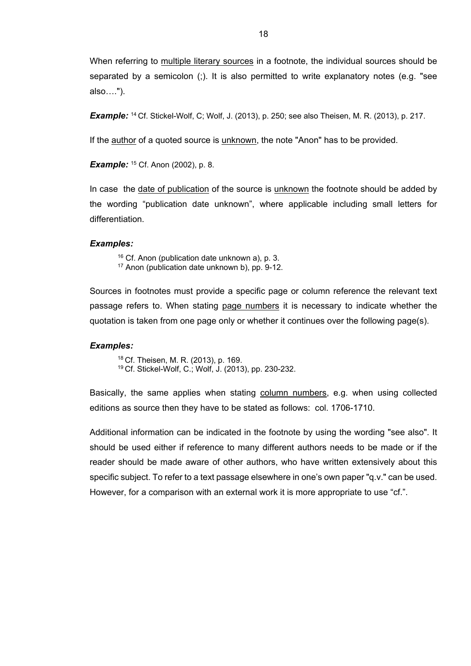When referring to multiple literary sources in a footnote, the individual sources should be separated by a semicolon (;). It is also permitted to write explanatory notes (e.g. "see also….").

**Example:** <sup>14</sup> Cf. Stickel-Wolf, C; Wolf, J. (2013), p. 250; see also Theisen, M. R. (2013), p. 217.

If the **author** of a quoted source is *unknown*, the note "Anon" has to be provided.

**Example:** <sup>15</sup> Cf. Anon (2002), p. 8.

In case the date of publication of the source is unknown the footnote should be added by the wording "publication date unknown", where applicable including small letters for differentiation.

#### *Examples:*

<sup>16</sup> Cf. Anon (publication date unknown a), p. 3. <sup>17</sup> Anon (publication date unknown b), pp. 9-12.

Sources in footnotes must provide a specific page or column reference the relevant text passage refers to. When stating page numbers it is necessary to indicate whether the quotation is taken from one page only or whether it continues over the following page(s).

#### *Examples:*

<sup>18</sup> Cf. Theisen, M. R. (2013), p. 169. <sup>19</sup> Cf. Stickel-Wolf, C.; Wolf, J. (2013), pp. 230-232.

Basically, the same applies when stating column numbers, e.g. when using collected editions as source then they have to be stated as follows: col. 1706-1710.

Additional information can be indicated in the footnote by using the wording "see also". It should be used either if reference to many different authors needs to be made or if the reader should be made aware of other authors, who have written extensively about this specific subject. To refer to a text passage elsewhere in one's own paper "q.v." can be used. However, for a comparison with an external work it is more appropriate to use "cf.".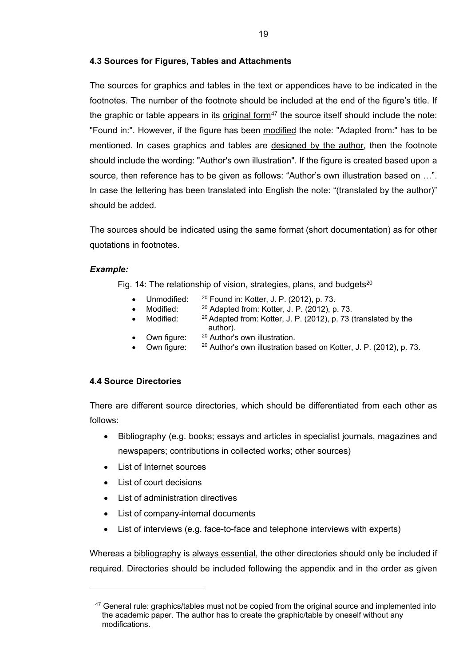## <span id="page-24-0"></span>**4.3 Sources for Figures, Tables and Attachments**

The sources for graphics and tables in the text or appendices have to be indicated in the footnotes. The number of the footnote should be included at the end of the figure's title. If the graphic or table appears in its original form<sup>[47](#page-24-2)</sup> the source itself should include the note: "Found in:". However, if the figure has been modified the note: "Adapted from:" has to be mentioned. In cases graphics and tables are designed by the author, then the footnote should include the wording: "Author's own illustration". If the figure is created based upon a source, then reference has to be given as follows: "Author's own illustration based on …". In case the lettering has been translated into English the note: "(translated by the author)" should be added.

The sources should be indicated using the same format (short documentation) as for other quotations in footnotes.

## *Example:*

<span id="page-24-2"></span> $\ddot{\phantom{a}}$ 

Fig. 14: The relationship of vision, strategies, plans, and budgets<sup>20</sup>

- Unmodified: <sup>20</sup> Found in: Kotter, J. P. (2012), p. 73.
	- Modified: <sup>20</sup> Adapted from: Kotter, J. P. (2012), p. 73.<br>Modified: <sup>20</sup> Adapted from: Kotter, J. P. (2012), p. 73.
- $20$  Adapted from: Kotter, J. P. (2012), p. 73 (translated by the author).
- Own figure: <sup>20</sup> Author's own illustration.
- Own figure:  $20$  Author's own illustration based on Kotter, J. P. (2012), p. 73.

## <span id="page-24-1"></span>**4.4 Source Directories**

There are different source directories, which should be differentiated from each other as follows:

- Bibliography (e.g. books; essays and articles in specialist journals, magazines and newspapers; contributions in collected works; other sources)
- List of Internet sources
- List of court decisions
- List of administration directives
- List of company-internal documents
- List of interviews (e.g. face-to-face and telephone interviews with experts)

Whereas a bibliography is always essential, the other directories should only be included if required. Directories should be included following the appendix and in the order as given

<sup>&</sup>lt;sup>47</sup> General rule: graphics/tables must not be copied from the original source and implemented into the academic paper. The author has to create the graphic/table by oneself without any modifications.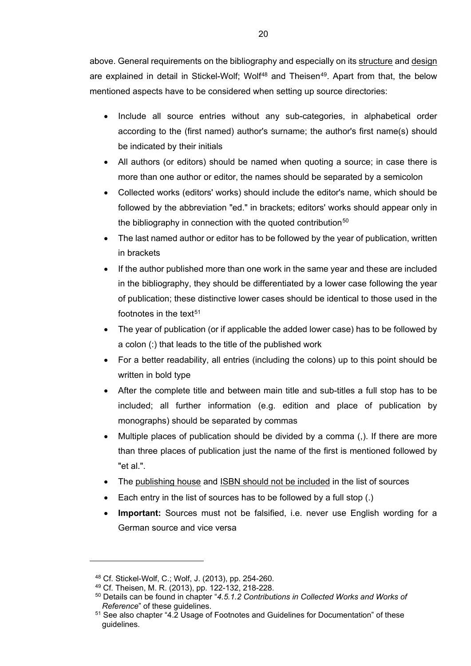above. General requirements on the bibliography and especially on its structure and design are explained in detail in Stickel-Wolf; Wolf<sup>[48](#page-25-0)</sup> and Theisen<sup>49</sup>. Apart from that, the below mentioned aspects have to be considered when setting up source directories:

- Include all source entries without any sub-categories, in alphabetical order according to the (first named) author's surname; the author's first name(s) should be indicated by their initials
- All authors (or editors) should be named when quoting a source; in case there is more than one author or editor, the names should be separated by a semicolon
- Collected works (editors' works) should include the editor's name, which should be followed by the abbreviation "ed." in brackets; editors' works should appear only in the bibliography in connection with the quoted contribution<sup>[50](#page-25-2)</sup>
- The last named author or editor has to be followed by the year of publication, written in brackets
- If the author published more than one work in the same year and these are included in the bibliography, they should be differentiated by a lower case following the year of publication; these distinctive lower cases should be identical to those used in the footnotes in the text $51$
- The year of publication (or if applicable the added lower case) has to be followed by a colon (:) that leads to the title of the published work
- For a better readability, all entries (including the colons) up to this point should be written in bold type
- After the complete title and between main title and sub-titles a full stop has to be included; all further information (e.g. edition and place of publication by monographs) should be separated by commas
- Multiple places of publication should be divided by a comma (,). If there are more than three places of publication just the name of the first is mentioned followed by "et al.".
- The publishing house and ISBN should not be included in the list of sources
- Each entry in the list of sources has to be followed by a full stop (.)
- **Important:** Sources must not be falsified, i.e. never use English wording for a German source and vice versa

<span id="page-25-0"></span> $\ddot{\phantom{a}}$ 

<span id="page-25-1"></span><sup>48</sup> Cf. Stickel-Wolf, C.; Wolf, J. (2013), pp. 254-260.

<sup>49</sup> Cf. Theisen, M. R. (2013), pp. 122-132, 218-228.

<span id="page-25-2"></span><sup>50</sup> Details can be found in chapter "*[4.5.1.2 Contributions in Collected Works and Works of](#page-28-0)  [Reference](#page-28-0)*" of these guidelines.

<span id="page-25-3"></span> $51$  See also chapter ["4.2 Usage of Footnotes and Guidelines for Documentation"](#page-22-0) of these guidelines.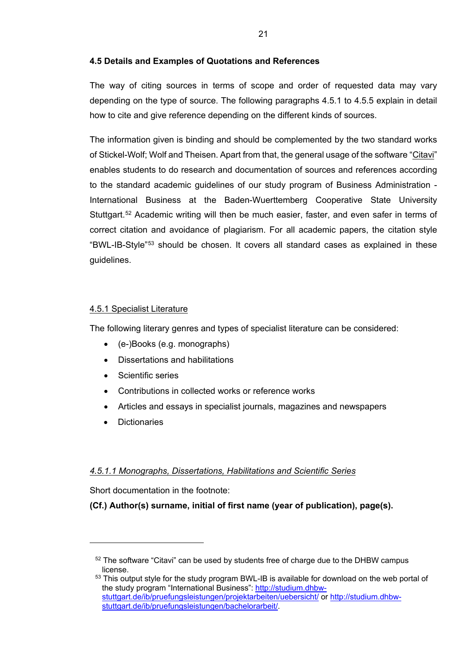## <span id="page-26-0"></span>**4.5 Details and Examples of Quotations and References**

The way of citing sources in terms of scope and order of requested data may vary depending on the type of source. The following paragraphs 4.5.1 to 4.5.5 explain in detail how to cite and give reference depending on the different kinds of sources.

The information given is binding and should be complemented by the two standard works of Stickel-Wolf; Wolf and Theisen. Apart from that, the general usage of the software "Citavi" enables students to do research and documentation of sources and references according to the standard academic guidelines of our study program of Business Administration - International Business at the Baden-Wuerttemberg Cooperative State University Stuttgart.<sup>[52](#page-26-3)</sup> Academic writing will then be much easier, faster, and even safer in terms of correct citation and avoidance of plagiarism. For all academic papers, the citation style "BWL-IB-Style"[53](#page-26-4) should be chosen. It covers all standard cases as explained in these guidelines.

## <span id="page-26-1"></span>4.5.1 Specialist Literature

The following literary genres and types of specialist literature can be considered:

- (e-)Books (e.g. monographs)
- Dissertations and habilitations
- Scientific series
- Contributions in collected works or reference works
- Articles and essays in specialist journals, magazines and newspapers
- **Dictionaries**

<span id="page-26-3"></span> $\overline{a}$ 

## <span id="page-26-2"></span>*4.5.1.1 Monographs, Dissertations, Habilitations and Scientific Series*

Short documentation in the footnote:

**(Cf.) Author(s) surname, initial of first name (year of publication), page(s).**

 $52$  The software "Citavi" can be used by students free of charge due to the DHBW campus license.

<span id="page-26-4"></span> $53$  This output style for the study program BWL-IB is available for download on the web portal of the study program "International Business": [http://studium.dhbw](http://studium.dhbw-stuttgart.de/ib/pruefungsleistungen/projektarbeiten/uebersicht/)[stuttgart.de/ib/pruefungsleistungen/projektarbeiten/uebersicht/](http://studium.dhbw-stuttgart.de/ib/pruefungsleistungen/projektarbeiten/uebersicht/) or [http://studium.dhbw](http://studium.dhbw-stuttgart.de/ib/pruefungsleistungen/bachelorarbeit/)[stuttgart.de/ib/pruefungsleistungen/bachelorarbeit/.](http://studium.dhbw-stuttgart.de/ib/pruefungsleistungen/bachelorarbeit/)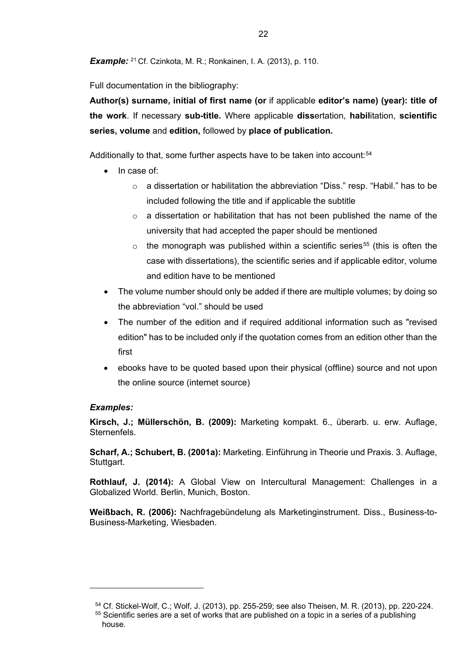**Example:** <sup>21</sup> Cf. Czinkota, M. R.; Ronkainen, I. A. (2013), p. 110.

Full documentation in the bibliography:

**Author(s) surname, initial of first name (or** if applicable **editor's name) (year): title of the work**. If necessary **sub-title.** Where applicable **diss**ertation, **habil**itation, **scientific series, volume** and **edition,** followed by **place of publication.**

Additionally to that, some further aspects have to be taken into account:<sup>54</sup>

- In case of:
	- o a dissertation or habilitation the abbreviation "Diss." resp. "Habil." has to be included following the title and if applicable the subtitle
	- $\circ$  a dissertation or habilitation that has not been published the name of the university that had accepted the paper should be mentioned
	- $\circ$  the monograph was published within a scientific series<sup>[55](#page-27-1)</sup> (this is often the case with dissertations), the scientific series and if applicable editor, volume and edition have to be mentioned
- The volume number should only be added if there are multiple volumes; by doing so the abbreviation "vol." should be used
- The number of the edition and if required additional information such as "revised edition" has to be included only if the quotation comes from an edition other than the first
- ebooks have to be quoted based upon their physical (offline) source and not upon the online source (internet source)

## *Examples:*

<span id="page-27-1"></span><span id="page-27-0"></span> $\ddot{ }$ 

**Kirsch, J.; Müllerschön, B. (2009):** Marketing kompakt. 6., überarb. u. erw. Auflage, Sternenfels.

**Scharf, A.; Schubert, B. (2001a):** Marketing. Einführung in Theorie und Praxis. 3. Auflage, Stuttgart.

**Rothlauf, J. (2014):** A Global View on Intercultural Management: Challenges in a Globalized World. Berlin, Munich, Boston.

**Weißbach, R. (2006):** Nachfragebündelung als Marketinginstrument. Diss., Business-to-Business-Marketing, Wiesbaden.

<sup>54</sup> Cf. Stickel-Wolf, C.; Wolf, J. (2013), pp. 255-259; see also Theisen, M. R. (2013), pp. 220-224.

 $55$  Scientific series are a set of works that are published on a topic in a series of a publishing house.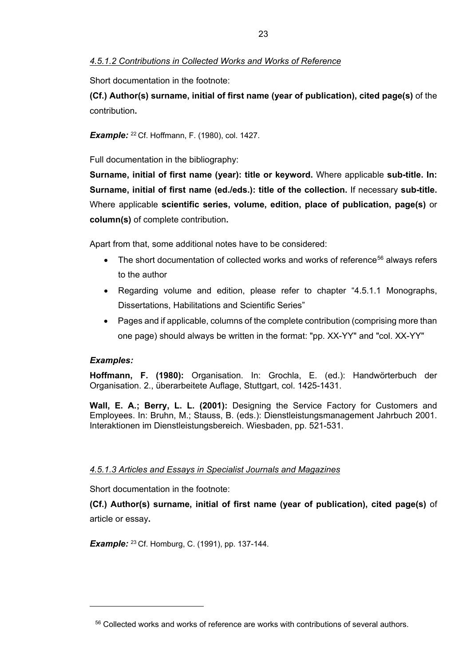## <span id="page-28-0"></span>*4.5.1.2 Contributions in Collected Works and Works of Reference*

Short documentation in the footnote:

**(Cf.) Author(s) surname, initial of first name (year of publication), cited page(s)** of the contribution**.**

**Example:** <sup>22</sup> Cf. Hoffmann, F. (1980), col. 1427.

Full documentation in the bibliography:

**Surname, initial of first name (year): title or keyword.** Where applicable **sub-title. In: Surname, initial of first name (ed./eds.): title of the collection.** If necessary **sub-title.** Where applicable **scientific series, volume, edition, place of publication, page(s)** or **column(s)** of complete contribution**.**

Apart from that, some additional notes have to be considered:

- The short documentation of collected works and works of reference<sup>[56](#page-28-2)</sup> always refers to the author
- Regarding volume and edition, please refer to chapter ["4.5.1.1 Monographs,](#page-26-2)  [Dissertations, Habilitations and Scientific Series"](#page-26-2)
- Pages and if applicable, columns of the complete contribution (comprising more than one page) should always be written in the format: "pp. XX-YY" and "col. XX-YY"

## *Examples:*

<span id="page-28-2"></span> $\overline{a}$ 

**Hoffmann, F. (1980):** Organisation. In: Grochla, E. (ed.): Handwörterbuch der Organisation. 2., überarbeitete Auflage, Stuttgart, col. 1425-1431.

**Wall, E. A.; Berry, L. L. (2001):** Designing the Service Factory for Customers and Employees. In: Bruhn, M.; Stauss, B. (eds.): Dienstleistungsmanagement Jahrbuch 2001. Interaktionen im Dienstleistungsbereich. Wiesbaden, pp. 521-531.

## <span id="page-28-1"></span>*4.5.1.3 Articles and Essays in Specialist Journals and Magazines*

Short documentation in the footnote:

**(Cf.) Author(s) surname, initial of first name (year of publication), cited page(s)** of article or essay**.**

**Example:** <sup>23</sup> Cf. Homburg, C. (1991), pp. 137-144.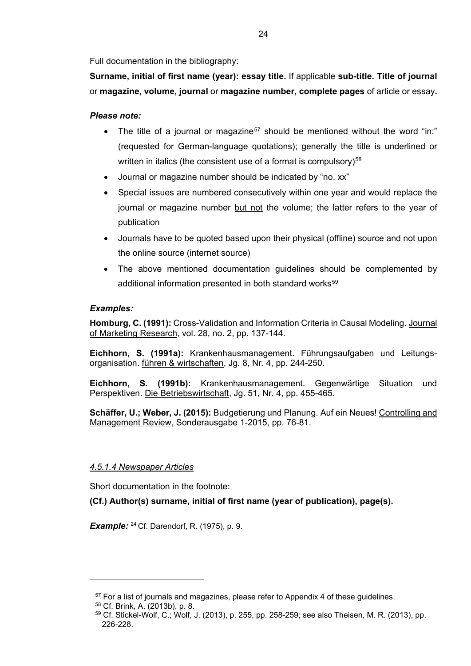Full documentation in the bibliography:

**Surname, initial of first name (year): essay title.** If applicable **sub-title. Title of journal**  or **magazine, volume, journal** or **magazine number, complete pages** of article or essay**.**

## *Please note:*

- The title of a journal or magazine<sup>[57](#page-29-1)</sup> should be mentioned without the word "in:" (requested for German-language quotations); generally the title is underlined or written in italics (the consistent use of a format is compulsory) $58$
- Journal or magazine number should be indicated by "no. xx"
- Special issues are numbered consecutively within one year and would replace the journal or magazine number but not the volume; the latter refers to the year of publication
- Journals have to be quoted based upon their physical (offline) source and not upon the online source (internet source)
- The above mentioned documentation guidelines should be complemented by additional information presented in both standard works<sup>[59](#page-29-3)</sup>

## *Examples:*

**Homburg, C. (1991):** Cross-Validation and Information Criteria in Causal Modeling. Journal of Marketing Research, vol. 28, no. 2, pp. 137-144.

**Eichhorn, S. (1991a):** Krankenhausmanagement. Führungsaufgaben und Leitungsorganisation. führen & wirtschaften, Jg. 8, Nr. 4, pp. 244-250.

**Eichhorn, S. (1991b):** Krankenhausmanagement. Gegenwärtige Situation und Perspektiven. Die Betriebswirtschaft, Jg. 51, Nr. 4, pp. 455-465.

**Schäffer, U.; Weber, J. (2015):** Budgetierung und Planung. Auf ein Neues! Controlling and Management Review, Sonderausgabe 1-2015, pp. 76-81.

## <span id="page-29-0"></span>*4.5.1.4 Newspaper Articles*

Short documentation in the footnote:

**(Cf.) Author(s) surname, initial of first name (year of publication), page(s).**

*Example:* <sup>24</sup> Cf. Darendorf, R. (1975), p. 9.

 $57$  For a list of journals and magazines, please refer to [Appendix 4](#page-40-0) of these quidelines.

<span id="page-29-3"></span><span id="page-29-2"></span><span id="page-29-1"></span><sup>58</sup> Cf. Brink, A. (2013b), p. 8.

<sup>59</sup> Cf. Stickel-Wolf, C.; Wolf, J. (2013), p. 255, pp. 258-259; see also Theisen, M. R. (2013), pp. 226-228.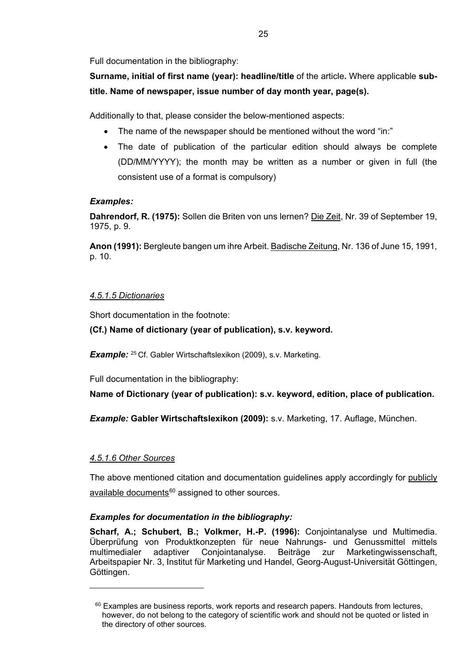Full documentation in the bibliography:

**Surname, initial of first name (year): headline/title** of the article**.** Where applicable **subtitle. Name of newspaper, issue number of day month year, page(s).**

Additionally to that, please consider the below-mentioned aspects:

- The name of the newspaper should be mentioned without the word "in:"
- The date of publication of the particular edition should always be complete (DD/MM/YYYY); the month may be written as a number or given in full (the consistent use of a format is compulsory)

## *Examples:*

**Dahrendorf, R. (1975):** Sollen die Briten von uns lernen? Die Zeit, Nr. 39 of September 19, 1975, p. 9.

**Anon (1991):** Bergleute bangen um ihre Arbeit. Badische Zeitung, Nr. 136 of June 15, 1991, p. 10.

## <span id="page-30-0"></span>*4.5.1.5 Dictionaries*

Short documentation in the footnote:

## **(Cf.) Name of dictionary (year of publication), s.v. keyword.**

*Example:* <sup>25</sup> Cf. Gabler Wirtschaftslexikon (2009), s.v. Marketing.

Full documentation in the bibliography:

**Name of Dictionary (year of publication): s.v. keyword, edition, place of publication.**

*Example:* **Gabler Wirtschaftslexikon (2009):** s.v. Marketing, 17. Auflage, München.

## <span id="page-30-1"></span>*4.5.1.6 Other Sources*

<span id="page-30-2"></span> $\ddot{ }$ 

The above mentioned citation and documentation guidelines apply accordingly for publicly  $a$ vailable documents<sup>[60](#page-30-2)</sup> assigned to other sources.

## *Examples for documentation in the bibliography:*

**Scharf, A.; Schubert, B.; Volkmer, H.-P. (1996):** Conjointanalyse und Multimedia. Überprüfung von Produktkonzepten für neue Nahrungs- und Genussmittel mittels multimedialer adaptiver Conjointanalyse. Beiträge zur Marketingwissenschaft, Arbeitspapier Nr. 3, Institut für Marketing und Handel, Georg-August-Universität Göttingen, Göttingen.

 $60$  Examples are business reports, work reports and research papers. Handouts from lectures, however, do not belong to the category of scientific work and should not be quoted or listed in the directory of other sources.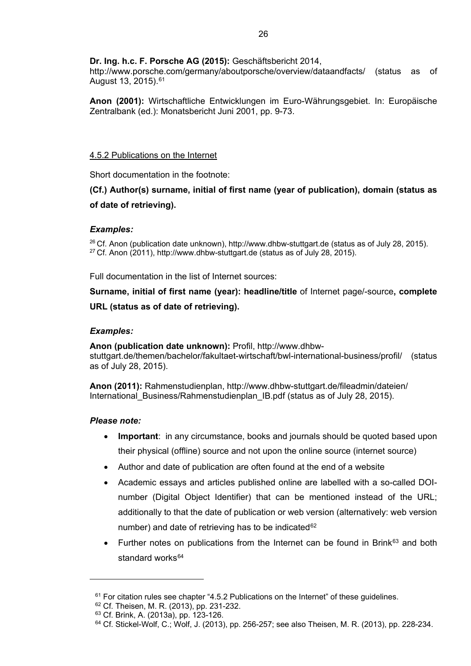## **Dr. Ing. h.c. F. Porsche AG (2015):** Geschäftsbericht 2014,

http://www.porsche.com/germany/aboutporsche/overview/dataandfacts/ (status as of August 13, 2015).<sup>[61](#page-31-1)</sup>

**Anon (2001):** Wirtschaftliche Entwicklungen im Euro-Währungsgebiet. In: Europäische Zentralbank (ed.): Monatsbericht Juni 2001, pp. 9-73.

## <span id="page-31-0"></span>4.5.2 Publications on the Internet

Short documentation in the footnote:

**(Cf.) Author(s) surname, initial of first name (year of publication), domain (status as of date of retrieving).**

#### *Examples:*

<sup>26</sup> Cf. Anon (publication date unknown), http://www.dhbw-stuttgart.de (status as of July 28, 2015).  $27$  Cf. Anon (2011), http://www.dhbw-stuttgart.de (status as of July 28, 2015).

Full documentation in the list of Internet sources:

**Surname, initial of first name (year): headline/title** of Internet page/-source**, complete URL (status as of date of retrieving).**

## *Examples:*

**Anon (publication date unknown):** Profil, http://www.dhbwstuttgart.de/themen/bachelor/fakultaet-wirtschaft/bwl-international-business/profil/ (status as of July 28, 2015).

**Anon (2011):** Rahmenstudienplan, http://www.dhbw-stuttgart.de/fileadmin/dateien/ International Business/Rahmenstudienplan IB.pdf (status as of July 28, 2015).

#### *Please note:*

- **Important:** in any circumstance, books and journals should be quoted based upon their physical (offline) source and not upon the online source (internet source)
- Author and date of publication are often found at the end of a website
- Academic essays and articles published online are labelled with a so-called DOInumber (Digital Object Identifier) that can be mentioned instead of the URL; additionally to that the date of publication or web version (alternatively: web version number) and date of retrieving has to be indicated<sup>[62](#page-31-2)</sup>
- Further notes on publications from the Internet can be found in Brink $63$  and both standard works $64$

 $61$  For citation rules see chapter ["4.5.2 Publications on the Internet"](#page-31-0) of these quidelines.

<span id="page-31-3"></span><span id="page-31-2"></span><span id="page-31-1"></span><sup>62</sup> Cf. Theisen, M. R. (2013), pp. 231-232.

<sup>63</sup> Cf. Brink, A. (2013a), pp. 123-126.

<span id="page-31-4"></span> $64$  Cf. Stickel-Wolf, C.; Wolf, J. (2013), pp. 256-257; see also Theisen, M. R. (2013), pp. 228-234.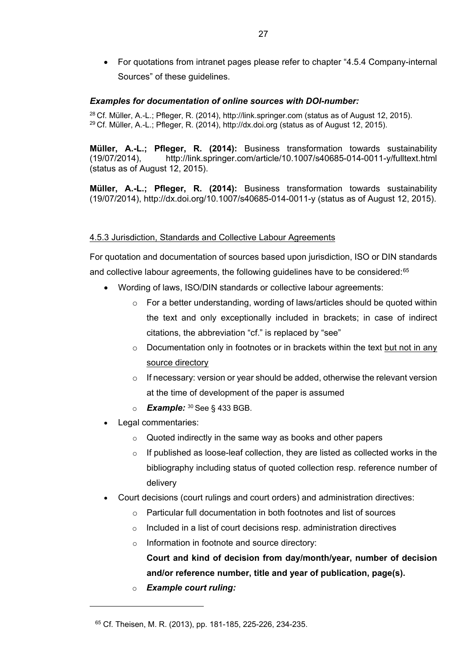• For quotations from intranet pages please refer to chapter ["4.5.4 Company-internal](#page-33-0)  [Sources"](#page-33-0) of these guidelines.

## *Examples for documentation of online sources with DOI-number:*

<sup>28</sup> Cf. Müller, A.-L.; Pfleger, R. (2014), http://link.springer.com (status as of August 12, 2015).  $29$  Cf. Müller, A.-L.; Pfleger, R. (2014), http://dx.doi.org (status as of August 12, 2015).

**Müller, A.-L.; Pfleger, R. (2014):** Business transformation towards sustainability (19/07/2014), http://link.springer.com/article/10.1007/s40685-014-0011-y/fulltext.html (status as of August 12, 2015).

**Müller, A.-L.; Pfleger, R. (2014):** Business transformation towards sustainability (19/07/2014), http://dx.doi.org/10.1007/s40685-014-0011-y (status as of August 12, 2015).

#### <span id="page-32-0"></span>4.5.3 Jurisdiction, Standards and Collective Labour Agreements

For quotation and documentation of sources based upon jurisdiction, ISO or DIN standards and collective labour agreements, the following guidelines have to be considered:<sup>[65](#page-32-1)</sup>

- Wording of laws, ISO/DIN standards or collective labour agreements:
	- $\circ$  For a better understanding, wording of laws/articles should be quoted within the text and only exceptionally included in brackets; in case of indirect citations, the abbreviation "cf." is replaced by "see"
	- $\circ$  Documentation only in footnotes or in brackets within the text but not in any source directory
	- o If necessary: version or year should be added, otherwise the relevant version at the time of development of the paper is assumed
	- o *Example:* <sup>30</sup> See § 433 BGB.
- Legal commentaries:
	- $\circ$  Quoted indirectly in the same way as books and other papers
	- $\circ$  If published as loose-leaf collection, they are listed as collected works in the bibliography including status of quoted collection resp. reference number of delivery
- Court decisions (court rulings and court orders) and administration directives:
	- $\circ$  Particular full documentation in both footnotes and list of sources
	- $\circ$  Included in a list of court decisions resp. administration directives
	- o Information in footnote and source directory:

**Court and kind of decision from day/month/year, number of decision and/or reference number, title and year of publication, page(s).**

o *Example court ruling:*

<span id="page-32-1"></span><sup>65</sup> Cf. Theisen, M. R. (2013), pp. 181-185, 225-226, 234-235.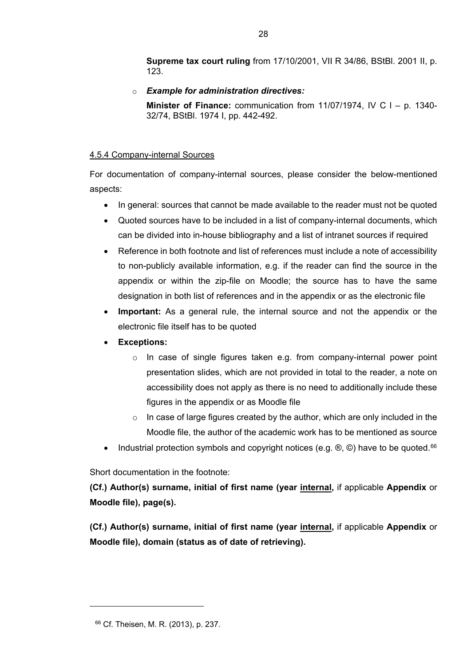**Supreme tax court ruling** from 17/10/2001, VII R 34/86, BStBl. 2001 II, p. 123.

o *Example for administration directives:*

**Minister of Finance:** communication from 11/07/1974, IV C l – p. 1340- 32/74, BStBl. 1974 I, pp. 442-492.

## <span id="page-33-0"></span>4.5.4 Company-internal Sources

For documentation of company-internal sources, please consider the below-mentioned aspects:

- In general: sources that cannot be made available to the reader must not be quoted
- Quoted sources have to be included in a list of company-internal documents, which can be divided into in-house bibliography and a list of intranet sources if required
- Reference in both footnote and list of references must include a note of accessibility to non-publicly available information, e.g. if the reader can find the source in the appendix or within the zip-file on Moodle; the source has to have the same designation in both list of references and in the appendix or as the electronic file
- **Important:** As a general rule, the internal source and not the appendix or the electronic file itself has to be quoted
- **Exceptions:**
	- $\circ$  In case of single figures taken e.g. from company-internal power point presentation slides, which are not provided in total to the reader, a note on accessibility does not apply as there is no need to additionally include these figures in the appendix or as Moodle file
	- $\circ$  In case of large figures created by the author, which are only included in the Moodle file, the author of the academic work has to be mentioned as source
- Industrial protection symbols and copyright notices (e.g.  $\circledcirc$ ,  $\circledcirc$ ) have to be quoted.<sup>[66](#page-33-1)</sup>

Short documentation in the footnote:

**(Cf.) Author(s) surname, initial of first name (year internal,** if applicable **Appendix** or **Moodle file), page(s).**

**(Cf.) Author(s) surname, initial of first name (year internal,** if applicable **Appendix** or **Moodle file), domain (status as of date of retrieving).**

<span id="page-33-1"></span><sup>66</sup> Cf. Theisen, M. R. (2013), p. 237.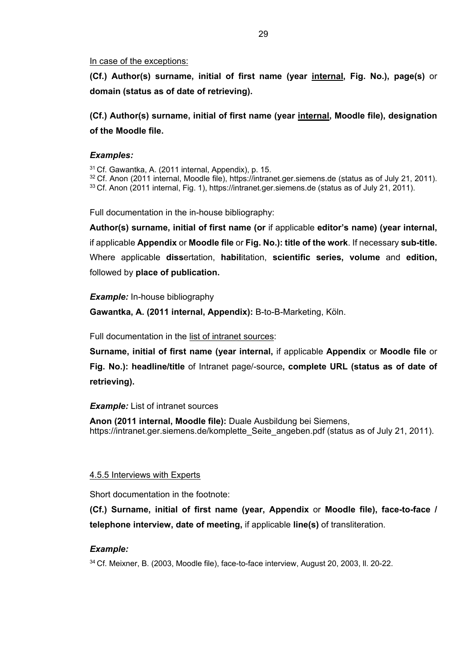#### In case of the exceptions:

**(Cf.) Author(s) surname, initial of first name (year internal, Fig. No.), page(s)** or **domain (status as of date of retrieving).**

**(Cf.) Author(s) surname, initial of first name (year internal, Moodle file), designation of the Moodle file.**

#### *Examples:*

<sup>31</sup> Cf. Gawantka, A. (2011 internal, Appendix), p. 15.

<sup>32</sup> Cf. Anon (2011 internal, Moodle file), https://intranet.ger.siemens.de (status as of July 21, 2011). <sup>33</sup> Cf. Anon (2011 internal, Fig. 1), https://intranet.ger.siemens.de (status as of July 21, 2011).

Full documentation in the in-house bibliography:

**Author(s) surname, initial of first name (or** if applicable **editor's name) (year internal,** if applicable **Appendix** or **Moodle file** or **Fig. No.): title of the work**. If necessary **sub-title.** Where applicable **diss**ertation, **habil**itation, **scientific series, volume** and **edition,**  followed by **place of publication.**

#### *Example:* In-house bibliography

**Gawantka, A. (2011 internal, Appendix):** B-to-B-Marketing, Köln.

Full documentation in the list of intranet sources:

**Surname, initial of first name (year internal,** if applicable **Appendix** or **Moodle file** or **Fig. No.): headline/title** of Intranet page/-source**, complete URL (status as of date of retrieving).**

## **Example:** List of intranet sources

**Anon (2011 internal, Moodle file):** Duale Ausbildung bei Siemens, https://intranet.ger.siemens.de/komplette Seite angeben.pdf (status as of July 21, 2011).

#### <span id="page-34-0"></span>4.5.5 Interviews with Experts

Short documentation in the footnote:

**(Cf.) Surname, initial of first name (year, Appendix** or **Moodle file), face-to-face / telephone interview, date of meeting,** if applicable **line(s)** of transliteration.

## *Example:*

<sup>34</sup> Cf. Meixner, B. (2003, Moodle file), face-to-face interview, August 20, 2003, ll. 20-22.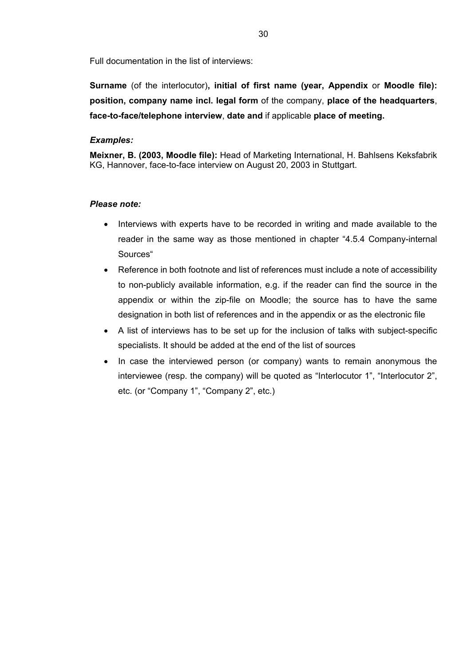Full documentation in the list of interviews:

**Surname** (of the interlocutor)**, initial of first name (year, Appendix** or **Moodle file): position, company name incl. legal form** of the company, **place of the headquarters**, **face-to-face/telephone interview**, **date and** if applicable **place of meeting.**

## *Examples:*

**Meixner, B. (2003, Moodle file):** Head of Marketing International, H. Bahlsens Keksfabrik KG, Hannover, face-to-face interview on August 20, 2003 in Stuttgart.

## *Please note:*

- Interviews with experts have to be recorded in writing and made available to the reader in the same way as those mentioned in chapter ["4.5.4 Company-internal](#page-33-0)  [Sources"](#page-33-0)
- Reference in both footnote and list of references must include a note of accessibility to non-publicly available information, e.g. if the reader can find the source in the appendix or within the zip-file on Moodle; the source has to have the same designation in both list of references and in the appendix or as the electronic file
- A list of interviews has to be set up for the inclusion of talks with subject-specific specialists. It should be added at the end of the list of sources
- In case the interviewed person (or company) wants to remain anonymous the interviewee (resp. the company) will be quoted as "Interlocutor 1", "Interlocutor 2", etc. (or "Company 1", "Company 2", etc.)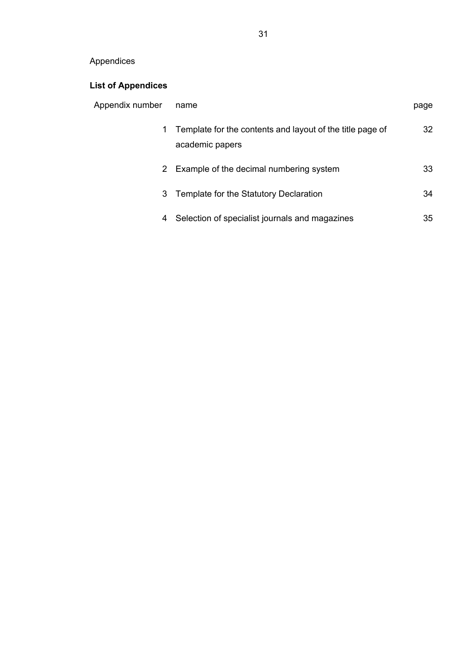# <span id="page-36-0"></span>Appendices

# **List of [Appendices](#page-36-0)**

| Appendix number | name                                                                         | page |
|-----------------|------------------------------------------------------------------------------|------|
| 1.              | Template for the contents and layout of the title page of<br>academic papers | 32   |
|                 | 2 Example of the decimal numbering system                                    | 33   |
|                 | 3 Template for the Statutory Declaration                                     | 34   |
| 4               | Selection of specialist journals and magazines                               | 35   |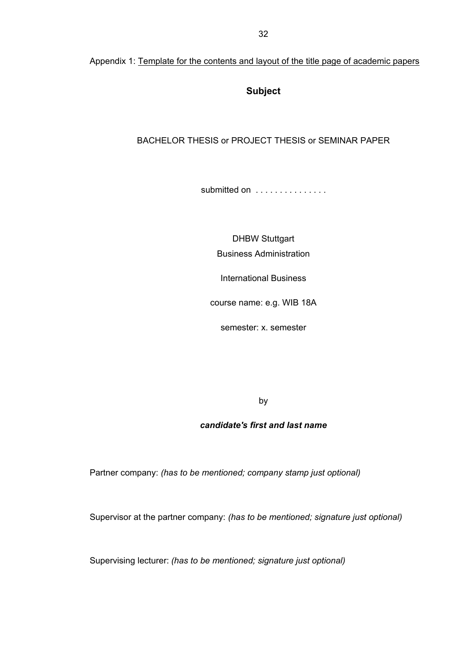## **Subject**

## <span id="page-37-0"></span>BACHELOR THESIS or PROJECT THESIS or SEMINAR PAPER

submitted on . . . . . . . . . . . . . . .

DHBW Stuttgart Business Administration

International Business

course name: e.g. WIB 18A

semester: x. semester

by

## *candidate's first and last name*

Partner company: *(has to be mentioned; company stamp just optional)*

Supervisor at the partner company: *(has to be mentioned; signature just optional)*

Supervising lecturer: *(has to be mentioned; signature just optional)*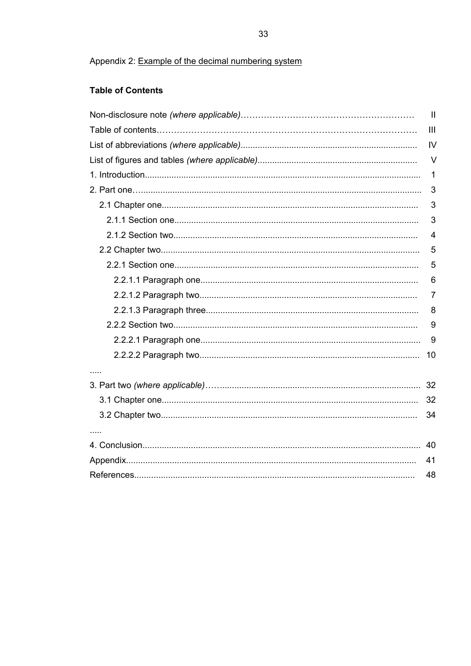## <span id="page-38-0"></span>**Table of Contents**

| $\mathbf{I}$   |
|----------------|
| $\mathbf{III}$ |
| IV             |
| $\vee$         |
| 1              |
| 3              |
| 3              |
| 3              |
| 4              |
| 5              |
| 5              |
| 6              |
| 7              |
| 8              |
| 9              |
| 9              |
| 10             |
|                |
|                |
| 32             |
| 34             |
|                |
|                |
| 41             |
| 48             |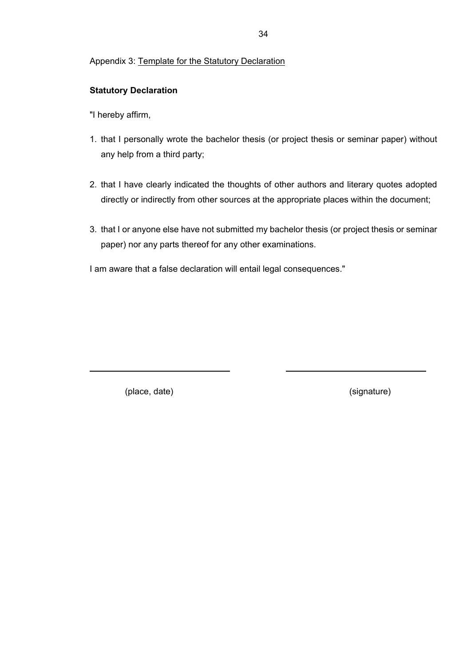#### <span id="page-39-0"></span>Appendix 3: Template for the Statutory Declaration

## **Statutory Declaration**

"I hereby affirm,

- 1. that I personally wrote the bachelor thesis (or project thesis or seminar paper) without any help from a third party;
- 2. that I have clearly indicated the thoughts of other authors and literary quotes adopted directly or indirectly from other sources at the appropriate places within the document;
- 3. that I or anyone else have not submitted my bachelor thesis (or project thesis or seminar paper) nor any parts thereof for any other examinations.

I am aware that a false declaration will entail legal consequences."

(place, date) (signature)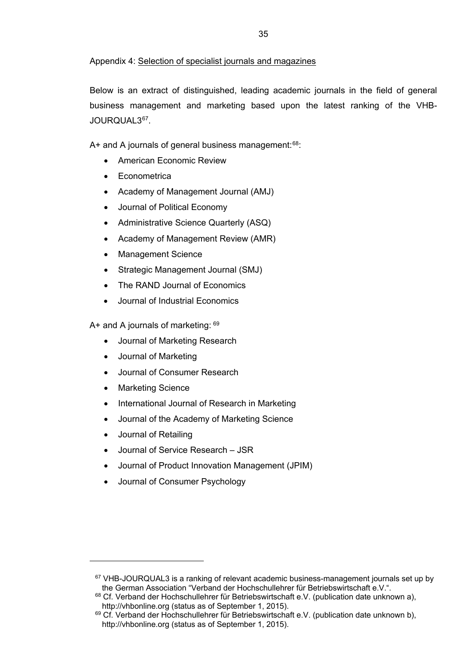#### <span id="page-40-0"></span>Appendix 4: Selection of specialist journals and magazines

Below is an extract of distinguished, leading academic journals in the field of general business management and marketing based upon the latest ranking of the VHB-JOURQUAL3[67.](#page-40-1)

A+ and A journals of general business management: $68$ :

- American Economic Review
- Econometrica
- Academy of Management Journal (AMJ)
- Journal of Political Economy
- Administrative Science Quarterly (ASQ)
- Academy of Management Review (AMR)
- Management Science
- Strategic Management Journal (SMJ)
- The RAND Journal of Economics
- Journal of Industrial Economics

A+ and A journals of marketing: [69](#page-40-3)

- Journal of Marketing Research
- Journal of Marketing
- Journal of Consumer Research
- **Marketing Science**
- International Journal of Research in Marketing
- Journal of the Academy of Marketing Science
- Journal of Retailing

<span id="page-40-1"></span> $\ddot{ }$ 

- Journal of Service Research JSR
- Journal of Product Innovation Management (JPIM)
- Journal of Consumer Psychology

 $67$  VHB-JOURQUAL3 is a ranking of relevant academic business-management journals set up by the German Association "Verband der Hochschullehrer für Betriebswirtschaft e.V.".

<span id="page-40-2"></span> $68$  Cf. Verband der Hochschullehrer für Betriebswirtschaft e.V. (publication date unknown a), http://vhbonline.org (status as of September 1, 2015).

<span id="page-40-3"></span><sup>&</sup>lt;sup>69</sup> Cf. Verband der Hochschullehrer für Betriebswirtschaft e.V. (publication date unknown b), http://vhbonline.org (status as of September 1, 2015).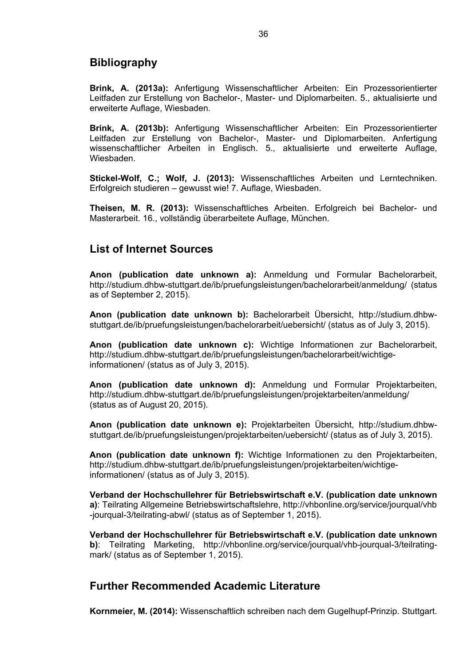# <span id="page-41-0"></span>**Bibliography**

**Brink, A. (2013a):** Anfertigung Wissenschaftlicher Arbeiten: Ein Prozessorientierter Leitfaden zur Erstellung von Bachelor-, Master- und Diplomarbeiten. 5., aktualisierte und erweiterte Auflage, Wiesbaden.

**Brink, A. (2013b):** Anfertigung Wissenschaftlicher Arbeiten: Ein Prozessorientierter Leitfaden zur Erstellung von Bachelor-, Master- und Diplomarbeiten. Anfertigung wissenschaftlicher Arbeiten in Englisch. 5., aktualisierte und erweiterte Auflage, Wiesbaden.

**Stickel-Wolf, C.; Wolf, J. (2013):** Wissenschaftliches Arbeiten und Lerntechniken. Erfolgreich studieren – gewusst wie! 7. Auflage, Wiesbaden.

**Theisen, M. R. (2013):** Wissenschaftliches Arbeiten. Erfolgreich bei Bachelor- und Masterarbeit. 16., vollständig überarbeitete Auflage, München.

# <span id="page-41-1"></span>**List of Internet Sources**

**Anon (publication date unknown a):** Anmeldung und Formular Bachelorarbeit, http://studium.dhbw-stuttgart.de/ib/pruefungsleistungen/bachelorarbeit/anmeldung/ (status as of September 2, 2015).

**Anon (publication date unknown b):** Bachelorarbeit Übersicht, http://studium.dhbwstuttgart.de/ib/pruefungsleistungen/bachelorarbeit/uebersicht/ (status as of July 3, 2015).

**Anon (publication date unknown c):** Wichtige Informationen zur Bachelorarbeit, http://studium.dhbw-stuttgart.de/ib/pruefungsleistungen/bachelorarbeit/wichtigeinformationen/ (status as of July 3, 2015).

**Anon (publication date unknown d):** Anmeldung und Formular Projektarbeiten, http://studium.dhbw-stuttgart.de/ib/pruefungsleistungen/projektarbeiten/anmeldung/ (status as of August 20, 2015).

**Anon (publication date unknown e):** Projektarbeiten Übersicht, http://studium.dhbwstuttgart.de/ib/pruefungsleistungen/projektarbeiten/uebersicht/ (status as of July 3, 2015).

**Anon (publication date unknown f):** Wichtige Informationen zu den Projektarbeiten, http://studium.dhbw-stuttgart.de/ib/pruefungsleistungen/projektarbeiten/wichtigeinformationen/ (status as of July 3, 2015).

**Verband der Hochschullehrer für Betriebswirtschaft e.V. (publication date unknown a)**: Teilrating Allgemeine Betriebswirtschaftslehre, http://vhbonline.org/service/jourqual/vhb -jourqual-3/teilrating-abwl/ (status as of September 1, 2015).

**Verband der Hochschullehrer für Betriebswirtschaft e.V. (publication date unknown b)**: Teilrating Marketing, http://vhbonline.org/service/jourqual/vhb-jourqual-3/teilratingmark/ (status as of September 1, 2015).

# <span id="page-41-2"></span>**Further Recommended Academic Literature**

**Kornmeier, M. (2014):** Wissenschaftlich schreiben nach dem Gugelhupf-Prinzip. Stuttgart.